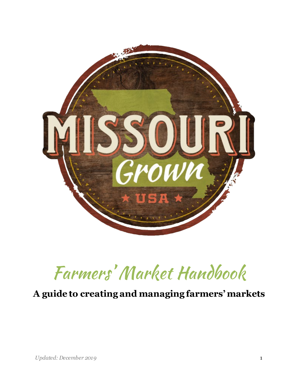

# Farmers' Market Handbook

### **A guide to creating and managing farmers'markets**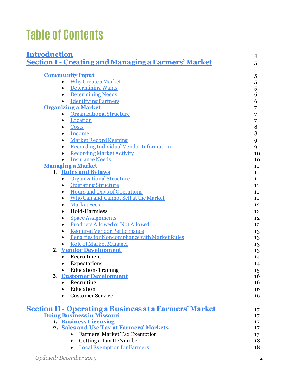## **Table of Contents**

| <b>Introduction</b>        |                                                                | $\overline{4}$ |
|----------------------------|----------------------------------------------------------------|----------------|
|                            | <b>Section I - Creating and Managing a Farmers' Market</b>     | 5              |
|                            |                                                                |                |
| <b>Community Input</b>     |                                                                | 5              |
| $\bullet$                  | <b>Why Create a Market</b>                                     | 5              |
| $\bullet$                  | <b>Determining Wants</b>                                       | 5              |
| $\bullet$                  | <b>Determining Needs</b>                                       | 6              |
|                            | <b>Identifying Partners</b>                                    | 6              |
| <b>Organizing a Market</b> |                                                                | 7              |
| $\bullet$                  | <b>Organizational Structure</b>                                | $\overline{7}$ |
| $\bullet$                  | Location                                                       | $\overline{7}$ |
| $\bullet$                  | Costs                                                          | 8              |
| $\bullet$                  | Income                                                         | 8              |
| $\bullet$                  | <b>Market Record Keeping</b>                                   | 9              |
| $\bullet$                  | Recording Individual Vendor Information                        | 9              |
| $\bullet$                  | <b>Recording Market Activity</b>                               | 10             |
|                            | <b>Insurance Needs</b>                                         | 10             |
| <b>Managing a Market</b>   |                                                                | 11             |
|                            | 1. Rules and Bylaws                                            | 11             |
| $\bullet$                  | <b>Organizational Structure</b>                                | 11             |
| $\bullet$                  | <b>Operating Structure</b>                                     | 11             |
| $\bullet$                  | <b>Hours and Days of Operations</b>                            | 11             |
| $\bullet$                  | Who Can and Cannot Sell at the Market                          | 11             |
| $\bullet$                  | <b>Market Fees</b>                                             | 12             |
| $\bullet$                  | Hold-Harmless                                                  | 12             |
| ٠                          | <b>Space Assignments</b>                                       | 12             |
| $\bullet$                  | Products Allowed or Not Allowed                                | 12             |
| $\bullet$                  | <b>Required Vendor Performance</b>                             | 13             |
| $\bullet$                  | Penalties for Noncompliance with Market Rules                  | 13             |
|                            | Role of Market Manager                                         | 13             |
|                            | 2. Vendor Development                                          | 13             |
| $\bullet$                  | Recruitment                                                    | 14             |
| $\bullet$                  | Expectations                                                   | 14             |
|                            | Education/Training                                             | 15             |
|                            | 3. Customer Development                                        | 16             |
| $\bullet$                  | Recruiting                                                     | 16             |
| $\bullet$                  | Education<br><b>Customer Service</b>                           | 16             |
|                            |                                                                | 16             |
|                            | <u> Section II - Operating a Business at a Farmers' Market</u> | 17             |
|                            | <b>Doing Business in Missouri</b>                              | 17             |
|                            | 1. Business Licensing                                          | 17             |
|                            | 2. Sales and Use Tax at Farmers' Markets                       | 17             |
|                            | Farmers' Market Tax Exemption                                  | 17             |
|                            | Getting a Tax ID Number                                        | 18             |
|                            | <b>Local Exemption for Farmers</b>                             | 18             |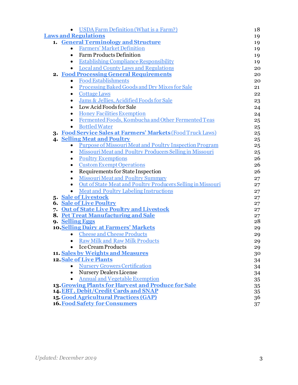| <b>USDA Farm Definition (What is a Farm?)</b>                            | 18 |
|--------------------------------------------------------------------------|----|
| <b>Laws and Regulations</b>                                              | 19 |
| 1. General Terminology and Structure                                     | 19 |
| <b>Farmers' Market Definition</b><br>$\bullet$                           | 19 |
| <b>Farm Products Definition</b><br>$\bullet$                             | 19 |
| <b>Establishing Compliance Responsibility</b><br>$\bullet$               | 19 |
| <b>Local and County Laws and Regulations</b><br>$\bullet$                | 20 |
| 2. Food Processing General Requirements                                  | 20 |
| • Food Establishments                                                    | 20 |
| Processing Baked Goods and Dry Mixes for Sale<br>$\bullet$               | 21 |
| <b>Cottage Laws</b><br>$\bullet$                                         | 22 |
| Jams & Jellies, Acidified Foods for Sale<br>$\bullet$                    | 23 |
| Low Acid Foods for Sale<br>$\bullet$                                     | 24 |
| <b>Honey Facilities Exemption</b><br>٠                                   | 24 |
| Fermented Foods, Kombucha and Other Fermented Teas<br>$\bullet$          | 25 |
| <b>Bottled Water</b><br>$\bullet$                                        | 25 |
| 3. Food Service Sales at Farmers' Markets (Food Truck Laws)              | 25 |
| 4. Selling Meat and Poultry                                              | 25 |
| • Purpose of Missouri Meat and Poultry Inspection Program                | 25 |
| Missouri Meat and Poultry Producers Selling in Missouri<br>$\bullet$     | 25 |
| <b>Poultry Exemptions</b><br>$\bullet$                                   | 26 |
| <b>Custom Exempt Operations</b><br>$\bullet$                             | 26 |
| Requirements for State Inspection<br>$\bullet$                           | 26 |
| <b>Missouri Meat and Poultry Summary</b><br>$\bullet$                    | 27 |
| Out of State Meat and Poultry Producers Selling in Missouri<br>$\bullet$ | 27 |
| <b>Meat and Poultry Labeling Instructions</b><br>$\bullet$               | 27 |
| 5. Sale of Livestock                                                     | 27 |
| <b>6.</b> Sale of Live Poultry                                           | 27 |
| 7. Out of State Live Poultry and Livestock                               | 27 |
| 8. Pet Treat Manufacturing and Sale                                      | 27 |
| 9. Selling Eggs                                                          | 28 |
| <b>10. Selling Dairy at Farmers' Markets</b>                             | 29 |
| <b>Cheese and Cheese Products</b><br>$\bullet$                           | 29 |
| <b>Raw Milk and Raw Milk Products</b><br>$\bullet$                       | 29 |
| <b>Ice Cream Products</b>                                                | 29 |
| 11. Sales by Weights and Measures                                        | 30 |
| <b>12. Sale of Live Plants</b>                                           | 34 |
| <b>Nursery Growers Certification</b>                                     | 34 |
| <b>Nursery Dealers License</b><br>$\bullet$                              | 34 |
| <b>Annual and Vegetable Exemption</b><br>$\bullet$                       | 35 |
| 13. Growing Plants for Harvest and Produce for Sale                      | 35 |
| 14. EBT, Debit/Credit Cards and SNAP                                     | 35 |
| 15. Good Agricultural Practices (GAP)                                    | 36 |
| <b>16. Food Safety for Consumers</b>                                     | 37 |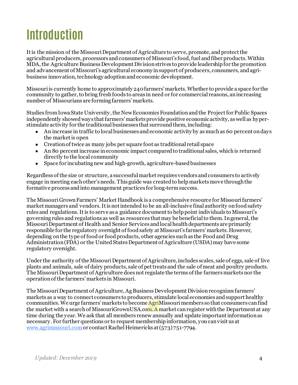## <span id="page-3-0"></span>**Introduction**

It is the mission of the Missouri Department of Agriculture to serve, promote, and protect the agricultural producers, processors and consumers of Missouri's food, fuel and fiber products.Within MDA, the Agriculture Business Development Division strives to provide leadership for the promotion and advancement of Missouri's agricultural economy in support of producers, consumers, and agribusiness innovation, technology adoption and economic development.

Missouri is currently home to approximately 240 farmers' markets. Whether to provide a space for the community to gather, to bring fresh foods to areas in need or for commercial reasons, an increasing number of Missourians are forming farmers' markets.

Studies from Iowa State University, the New Economics Foundation and the Project for Public Spaces independently showedways that farmers' markets provide positive economic activity, as well as hyperstimulate activity for the traditional businesses that surround them, including:

- An increase in traffic to local businesses and economic activity by as much as 60 percent on days the market is open
- Creation of twice as many jobs per square foot as traditional retail space
- An 80 percent increase in economic impact compared to traditional sales, which is returned directly to the local community
- Space for incubating new and high-growth, agriculture-based businesses

Regardless of the size or structure, a successful market requires vendors and consumers to actively engage in meeting each other's needs. This guide was created to help markets move through the formative process and into management practices for long-term success.

The Missouri Grown Farmers' Market Handbook is a comprehensive resource for Missouri farmers' market managers and vendors. It is not intended to be an all-inclusive final authority on food safety rules and regulations. It is to serve as a guidance documentto help point individuals to Missouri's governing rules and regulations as well as resources that may be beneficial to them.In general, the Missouri Department of Health and Senior Services and local health departments are primarily responsible for the regulatory oversight of food safety at Missouri's farmers'markets. However, depending on the type of food or food products, other agencies such as the Food and Drug Administration (FDA) or the United States Department of Agriculture (USDA) may have some regulatory oversight.

Under the authority of the Missouri Department of Agriculture, includes scales, sale of eggs, sale of live plants and animals, sale of dairy products, sale of pet treats and the sale of meat and poultry products. The Missouri Department of Agriculture does not regulate the terms of the farmers markets nor the operation of the farmers'markets in Missouri.

The Missouri Department of Agriculture, Ag Business Development Division recognizes farmers' markets as a way to connect consumers to producers, stimulate local economies and support healthy communities.We urge farmers'markets to become AgriMissourimembers so that consumers can find the market with a search of MissouriGrownUSA.com. A market can register with the Department at any time during the year. We ask that all members renew annually and update important information as necessary. For further questions or to request membership information, you can visit us at [www.agrimissouri.com](http://www.agrimissouri.com/)or contact Rachel Heimericks at (573) 751-7794.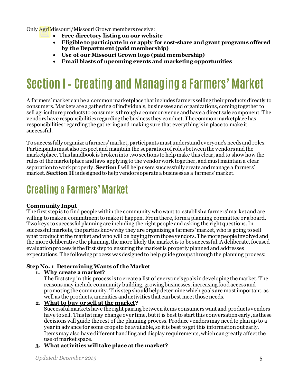Only AgriMissouri/Missouri Grownmembers receive:

- **Free directory listing on our website**
- **Eligible to participate in or apply for cost-share and grant programs offered by the Department (paid membership)**
- **Use of our Missouri Grown logo (paid membership)**
- **Email blasts of upcoming events and marketing opportunities**

## <span id="page-4-0"></span>**Section I– Creating and Managing a Farmers' Market**

A farmers' market can be a common marketplace that includes farmers selling their products directly to consumers. Markets are a gathering of individuals, businesses and organizations, coming together to sell agriculture products to consumers through a common venue and have a direct sale component. The vendors have responsibilities regarding the business they conduct. The common marketplace has responsibilities regarding the gathering and making sure that everything is in place to make it successful.

To successfully organize a farmers'market, participants must understand everyone's needs and roles. Participants must also respect and maintain the separation of roles between the vendors and the marketplace. This handbook is broken into two sections to help make this clear, and to show how the rules of the marketplace and laws applying to the vendor work together, and must maintain a clear separation to work properly. **Section I** will help users successfully create and manage a farmers' market. **Section II** is designed to help vendors operate a business as a farmers' market.

### **Creating a Farmers' Market**

#### <span id="page-4-1"></span>**Community Input**

The first step is to find people within the community who want to establish a farmers'market and are willing to make a commitment to make it happen. From there, form a planning committee or a board. Two keys to successful planning are including the right people and asking the right questions. In successful markets, the parties know why they are organizing a farmers' market, who is going to sell what product at the market and who will be buying from those vendors. The more people involved and the more deliberative the planning, the more likely the market is to be successful. A deliberate, focused evaluation process is the first step to ensuring the market is properly planned and addresses expectations. The following process was designed to help guide groups through the planning process:

#### <span id="page-4-2"></span>**Step No. 1 Determining Wants of the Market**

#### **1. Why create a market?**

The first step in this process is to create a list of everyone's goals in developing the market. The reasons may include community building, growing businesses, increasing food access and promoting the community. This step should help determine which goals are most important, as well as the products, amenities and activities that can best meet those needs.

#### <span id="page-4-3"></span>**2. What to buy or sell at the market?**

Successful markets have the right pairing between items consumers want and products vendors have to sell. This list may change over time, but it is best to start this conversation early, as these decisions will guide the rest of the planning process. Produce vendors may need to plan up to a year in advance for some crops to be available, so it is best to get this information out early. Items may also have different handling and display requirements, which can greatly affect the use of market space.

#### **3. What activities will take place at the market?**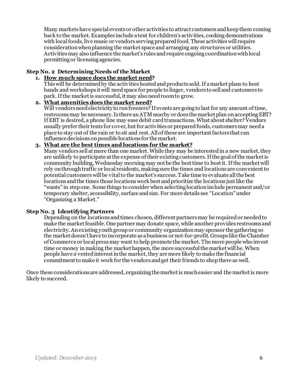Many markets have special events or other activities to attract customers andkeep them coming back to the market.Examples include a tent for children's activities, cooking demonstrations with local foods, live music or vendors serving prepared food. These activities will require consideration when planning the market space and arranging any structures or utilities. Activities may also influence the market's rules and require ongoing coordination with local permitting or licensing agencies.

#### <span id="page-5-0"></span>**Step No. 2 Determining Needs of the Market**

#### **1. How much space does the market need?**

This will be determined by the activities hosted and products sold. If a market plans to host bands and workshops it will need space for people to linger, vendors to sell and customers to park. If the market is successful, it may also need room to grow.

#### **2. What amenities does the market need?**

Will vendors need electricity to run freezers? If events are going to last for any amount of time, restrooms may be necessary. Is there an ATM nearby or does the market plan on accepting EBT? If EBT is desired, a phone line may ease debit card transactions. What about shelter? Vendors usually prefer their tents for cover, but for activities or prepared foods, customers may need a place to stay out of the rain or to sit and rest. All of these are important factors that can influence decisions onpossible locations for the market.

#### **3. What are the best times and locations for the market?**

Many vendors sell at more than one market. While they may be interested in a new market, they are unlikely to participate at the expense of their existing customers. If the goal of the market is community building, Wednesday morning may not be the best time to hostit. If the market will rely on through traffic or local residents, making sure the times and locations are convenient to potential customers will be vital to the market's success. Take time to evaluate all the best locations and the times those locations work best and prioritize the locations just like the "wants" in step one. Some things to consider when selecting location include permanent and/or temporary shelter, accessibility, surface and size. For more details see "Location" under "Organizing a Market."

#### <span id="page-5-1"></span>**Step No. 3 Identifying Partners**

Depending on the locations and times chosen, different partners may be required or needed to make the market feasible. One partner may donate space, while another provides restrooms and electricity. An existing youth group or community organizationmay sponsor the gathering so the market doesn't have to incorporate as a business or not-for-profit. Groups like the Chamber of Commerce or local pressmay want to help promote the market. The more people who invest time or money in making the market happen, the more successful the market will be. When people have a vested interest in the market, they are more likely to make the financial commitment to make it work for the vendors and get their friends to shop there as well.

Once these considerations are addressed, organizing the market is much easier and the marketis more likely to succeed.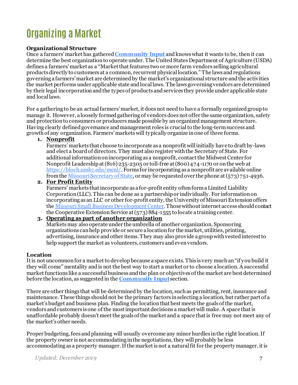### <span id="page-6-0"></span>**Organizing a Market**

#### **Organizational Structure**

Once a farmers' market has gathered **[Community Input](#page-4-1)** and knows what it wants to be, then it can determine the best organization to operate under. The United States Department of Agriculture (USDA) defines a farmers' market as a "Market that features two or more farm vendors selling agricultural products directly to customers at a common, recurrent physical location." The laws and regulations governing a farmers' market are determined by the market's organizational structure and the activities the market performs under applicable state and local laws. The laws governing vendors are determined by their legal incorporation and the types of products and services they provide under applicable state and local laws.

For a gathering to be an actual farmers' market, it does not need to have a formally organized group to manage it. However, a loosely formed gathering of vendors doesnot offer the same organization, safety and protection to consumers or producers made possible by an organized management structure. Having clearly defined governance and management roles is crucial to the long-term success and growth of any organization. Farmers' markets will typically organize in one of three forms.

#### **1. Nonprofit**

Farmers' markets that choose to incorporate as a nonprofit will initially have to draft by-laws and elect a board of directors. They must also register with the Secretary of State. For additional information on incorporating as a nonprofit, contact the Midwest Center for Nonprofit Leadership at (816)235-2305 or toll-free at (800)474-1170 or on the web at <https://bloch.umkc.edu/mcnl/>. Forms for incorporating as a nonprofit are available online from th[e Missouri Secretary of State](http://www.sos.mo.gov/), or may be requested over the phone at (573)751-4936.

#### **2. For Profit Entity**

Farmers' markets that incorporate as a for-profit entity often form a Limited Liability Corporation (LLC). This can be done as a partnership or individually. For information on incorporating as an LLC or other for-profit entity, the University of Missouri Extension offers th[e Missouri Small Business Development Center](https://sbdc.missouri.edu/). Those without internet access should contact the Cooperative Extension Service at (573) 884-1555 to locate a training center.

#### **3. Operating as part of another organization**

Markets may also operate under the umbrella of another organization. Sponsoring organizations can help provide or secure a location for the market, utilities, printing, advertising, insurance and other items. They may also provide a group with vested interest to help support the market as volunteers, customers and even vendors.

#### <span id="page-6-1"></span>**Location**

It is not uncommon for a market to develop because a space exists. This is very much an "if you build it they will come" mentality andis not the best way to start a market or to choose a location.A successful market functions like a successful business and the plan or objectives of the market are best determined before the location, as suggested in the **[Community Input](#page-4-1)**section.

There are other things that will be determined by the location, such as permitting, rent, insurance and maintenance. These things should not be the primary factors in selecting a location, but rather part of a market's budget and business plan. Finding the location that best meets the goals of the market, vendors and customers is one of the most important decisions a market will make. A space that is unaffordable probably doesn't meet the goals of the market and a space that is free may not meet any of the market's other needs.

Proper budgeting, fees and planning will usually overcome any minor hurdles in the right location.If the property owner is not accommodating in the negotiations, they will probably be less accommodating as a property manager.If the market is not a naturalfit for the property manager, it is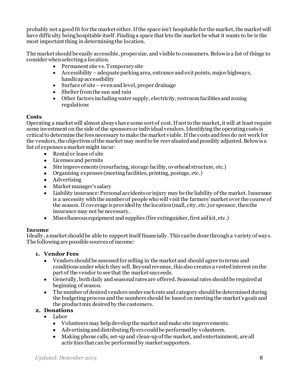probably not a good fit for the market either.If the space isn't hospitable for the market, the market will have difficulty being hospitable itself. Finding a space that lets the market be what it wants to be is the most important thing in determining the location.

The market should be easily accessible, proper size, and visible to consumers. Below is a list of things to consider when selecting a location.

- Permanent site vs. Temporary site
- Accessibility –adequate parking area, entrance and exit points, major highways, handicap accessibility
- Surface of site even and level, proper drainage
- Shelter from the sun and rain
- Other factors including water supply, electricity, restroom facilities and zoning regulations

#### <span id="page-7-0"></span>**Costs**

Operating a market will almost always have some sort of cost. If not to the market, it will at least require some investment on the side of the sponsors or individual vendors. Identifying the operating costs is criticalto determine the fees necessary to make the market viable. If the costs and fees do not work for the vendors, the objectives of the market may need to be reevaluated and possibly adjusted.Below is a list of expenses a market might incur:

- Rental or lease of site
- Licenses and permits
- Site improvements (resurfacing, storage facility, overhead structure, etc.)
- Organizing expenses (meeting facilities, printing, postage, etc.)
- Advertising
- Market manager's salary
- Liability insurance: Personal accidents or injury may be the liability of the market. Insurance is a necessity with the number of people who will visit the farmers' market over the course of the season. If coverage is providedby the location (mall, city, etc.)or sponsor, then the insurance may not be necessary.
- Miscellaneous equipment and supplies (fire extinguisher, first aid kit, etc.)

#### <span id="page-7-1"></span>**Income**

Ideally, a market should be able to support itself financially. This can be done through a variety of ways. The following are possible sources of income:

#### **1. Vendor Fees**

- Vendors should be assessed for selling in the market and should agree to terms and conditions under which they sell. Beyond revenue, this also creates a vested interest on the part of the vendor to see that the market succeeds.
- Generally, both daily and seasonal rates are offered. Seasonal rates should be required at beginning of season.
- The number of desired vendors under each rate and category should be determined during the budgeting process and the numbers should be based on meeting the market's goals and the product mix desired by the customers.

#### **2. Donations**

- Labor
	- Volunteersmay help develop the market and make site improvements.
	- Advertising and distributing flyers could be performed by volunteers.
	- Making phone calls, set-up and clean-up of the market, and entertainment, are all activities that can be performed by market supporters.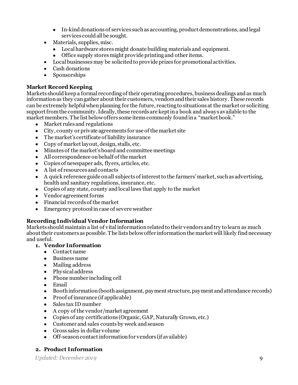- In-kind donations of services such as accounting, product demonstrations, and legal services could all be sought.
- Materials, supplies, misc.
	- Local hardware stores might donate building materials and equipment.
	- Office supply stores might provide printing and other items.
- Local businesses may be solicited to provide prizes for promotional activities.
- Cash donations
- Sponsorships

#### <span id="page-8-0"></span>**Market Record Keeping**

Markets should keep a formal recording of their operating procedures, business dealings and as much information as they can gather about their customers, vendors and their sales history. These records can be extremely helpful when planning for the future, reacting to situations at the market or soliciting support from the community.Ideally,these records are kept in a book and always available to the market members. The list below offers some items commonly found in a "market book."

- Market rules and regulations
- City, county or private agreements for use of the market site
- The market's certificate of liability insurance
- Copy of market layout, design, stalls, etc.
- Minutes of the market's board and committee meetings
- All correspondence on behalf of the market
- Copies of newspaper ads, flyers, articles, etc.
- A list of resources and contacts
- A quick reference guide on all subjects of interest to the farmers' market, such as advertising, health and sanitary regulations, insurance, etc.
- Copies of any state, county and local laws that apply to the market
- Vendor agreement forms
- Financial records of the market
- Emergency protocol in case of severe weather

#### <span id="page-8-1"></span>**Recording Individual Vendor Information**

Markets should maintain a list of vital information related to their vendors and try to learn as much about their customers as possible. The lists below offer information the market will likely find necessary and useful.

#### **1. Vendor Information**

- Contact name
- Business name
- Mailing address
- Physical address
- Phone number including cell
- Email
- Booth information (booth assignment, payment structure, payment and attendance records)
- Proof of insurance (if applicable)
- Sales tax ID number
- A copy of the vendor/market agreement
- Copies of any certifications (Organic, GAP, Naturally Grown, etc.)
- Customer and sales counts by week and season
- Gross sales in dollar volume
- Off-season contact information for vendors (if available)

#### **2. Product Information**

*Updated: December 2019* 9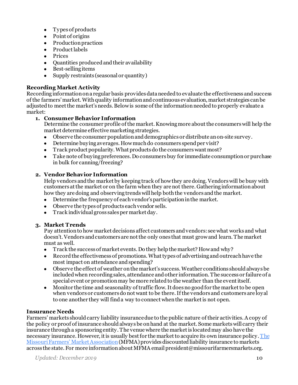- Types of products
- Point of origins
- Production practices
- Product labels
- Prices
- Quantities produced and their availability
- Best-selling items
- <span id="page-9-0"></span>• Supply restraints (seasonal or quantity)

#### **Recording Market Activity**

Recording information on a regular basis provides data needed to evaluate the effectiveness and success of the farmers' market. With quality informationand continuous evaluation, market strategies can be adjusted to meet the market's needs. Below is some of the information needed to properly evaluate a market:

#### **1. Consumer Behavior Information**

Determine the consumer profile of the market. Knowing more about the consumerswill help the market determine effective marketing strategies.

- Observe the consumer populationand demographics or distribute an on-site survey.
- $\bullet$  Determine buying averages. How much do consumers spend per visit?
- Track product popularity. What products do the consumers want most?
- Take note of buying preferences. Do consumers buy for immediate consumption or purchase in bulk for canning/freezing?

#### **2. Vendor Behavior Information**

Help vendors and the market by keeping track of how they are doing. Vendors will be busy with customers at the market or on the farm when they are not there. Gathering information about how they are doing and observing trends will help both the vendors and the market.

- Determine the frequency of each vendor's participation in the market.
- Observe the types of products each vendor sells.
- Track individual gross sales per market day.

#### **3. Market Trends**

Pay attention to how market decisions affect customers and vendors: see what works and what doesn't. Vendors and customers are not the only ones that must grow and learn. The market must as well.

- Track the success of market events. Do they help the market? How and why?
- Record the effectiveness of promotions. What types of advertising and outreach have the most impact on attendance and spending?
- Observe the effect of weather on the market's success. Weather conditions should always be included when recording sales, attendance and other information. The success or failure of a special event or promotion may be more related to the weather than the event itself.
- Monitor the time and seasonality of traffic flow.It does no good for the market to be open when vendors or customers do not want to be there. If the vendors and customers are loyal to one another they will find a way to connect when the market is not open.

#### <span id="page-9-1"></span>**Insurance Needs**

Farmers' markets should carry liability insurance due to the public nature of their activities. A copy of the policy or proof of insurance should always be on hand at the market. Some markets will carry their insurance through a sponsoring entity. The venue where the market is located may also have the necessary insurance. However, it is usually best for the market to acquire its own insurance policy[. The](http://www.missourifarmersmarkets.org/)  [Missouri Farmers' Market Association](http://www.missourifarmersmarkets.org/)(MFMA) provides discounted liability insurance to markets across the state. For more information about MFMA email president@missourifarmersmarkets.org.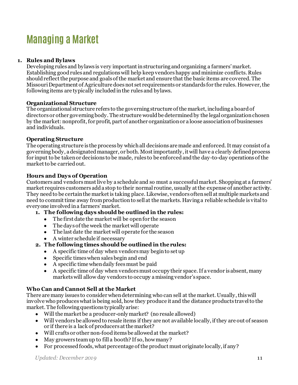### <span id="page-10-1"></span>**Managing a Market**

#### **1. Rules and Bylaws**

<span id="page-10-2"></span>Developing rules and bylaws is very important in structuring and organizing a farmers'market. Establishing good rules and regulations will help keep vendors happy and minimize conflicts. Rules should reflect the purpose and goals of the market and ensure that the basic items are covered. The Missouri Department of Agriculture does not set requirements or standards for the rules. However, the following items are typically included in the rules and bylaws.

#### <span id="page-10-0"></span>**Organizational Structure**

The organizational structure refers to the governing structure of the market, including a board of directors or other governing body. The structure would be determined by the legal organizationchosen by the market: nonprofit, for profit, part of another organization or a loose association of businesses and individuals.

#### <span id="page-10-3"></span>**Operating Structure**

The operating structure is the process by which all decisions are made and enforced. It may consist of a governing body, a designated manager, or both. Most importantly, it will have a clearly defined process for input to be taken or decisions to be made, rules to be enforced and the day-to-day operations of the market to be carried out.

#### <span id="page-10-4"></span>**Hours and Days of Operation**

Customers and vendors must live by a schedule and so must a successful market. Shopping at a farmers' market requires customers add a stop to their normal routine, usually at the expense of another activity. They need to be certain the market is taking place. Likewise, vendors often sell at multiple markets and need to commit time away from production to sell at the markets. Having a reliable schedule is vital to everyone involved in a farmers' market.

- **1. The following days should be outlined in the rules:** 
	- The first date the market will be open for the season
	- The days of the week the market will operate
	- The last date the market will operate for the season
	- A winter schedule if necessary

#### **2. The following times should be outlined in the rules:**

- A specific time of day when vendors may begin to set up
- Specific times when sales begin and end
- A specific time when daily fees must be paid
- A specific time of day when vendors must occupy their space. If a vendor is absent, many marketswill allow day vendors to occupy amissing vendor's space.

#### <span id="page-10-5"></span>**Who Can and Cannot Sell at the Market**

There are many issues to consider when determining who can sell at the market. Usually, this will involve who produces what is being sold, how they produce it and the distance products travel to the market. The following questions typically arise:

- Will the market be a producer-only market? (no resale allowed)
- Will vendors be allowed to resale items if they are not available locally, if they are out of season or if there is a lack of producers at the market?
- Will crafts or other non-food items be allowed at the market?
- May growers team up to fill a booth? If so, how many?
- For processed foods, what percentage of the product must originate locally, if any?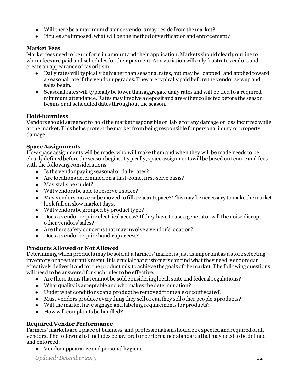- Will there be a maximum distance vendors may reside from the market?
- If rules are imposed, what will be the method of verification and enforcement?

#### <span id="page-11-0"></span>**Market Fees**

Market fees need to be uniform in amount and their application. Markets should clearly outline to whom fees are paid and schedules for their payment.Any variation will only frustrate vendors and create an appearance of favoritism.

- Daily rates will typically be higher than seasonal rates, but may be "capped" and applied toward a seasonal rate if the vendor upgrades. They are typically paid before the vendor sets up and sales begin.
- Seasonal rates will typically be lower than aggregate daily rates and will be tied to a required minimum attendance. Ratesmay involve a deposit and are either collected before the season begins or at scheduled dates throughout the season.

#### <span id="page-11-1"></span>**Hold-harmless**

Vendors should agree not to hold the market responsible or liable for any damage or loss incurred while at the market. This helps protect the market from being responsible for personal injury or property damage.

#### **Space Assignments**

How space assignments will be made, who will make them and when they will be made needs to be clearly defined before the season begins. Typically, space assignments will be based on tenure and fees with the following considerations.

- Is the vendor paying seasonal or daily rates?
- Are locations determined on a first-come, first-serve basis?
- May stalls be sublet?
- Will vendors be able to reserve a space?
- May vendors move or be moved to fill a vacant space? This may be necessary to make the market look full on slow market days.
- Will vendors be grouped by product type?
- Does a vendor require electrical access? If they have to use a generator will the noise disrupt other vendors' sales?
- Are there safety concerns that may involve a vendor's location?
- Does a vendor require handicap access?

#### <span id="page-11-2"></span>**Products Allowed or Not Allowed**

Determining which products may be sold at a farmers' market is just as important as a store selecting inventory or a restaurant's menu.It is crucial that customers can find what they need, vendors can effectively deliver it and for the product mix to achieve the goals of the market. The following questions will need to be answered for such rules to be effective.

- Are there items that cannot be sold considering local, state and federal regulations?
- What quality is acceptable and who makes the determination?
- Under what conditions can a product be removed from sale or confiscated?
- Must vendors produce everything they sell or can they sell other people's products?
- Will the market have signage and labeling requirements for products?
- How will complaints be handled?

#### <span id="page-11-3"></span>**Required Vendor Performance**

Farmers' markets are a place of business, and professionalism should be expected and required of all vendors. The following list includesbehavioral or performance standards that may need to be defined and enforced.

• Vendor appearance and personal hygiene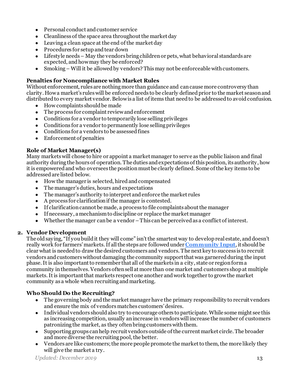- Personal conduct and customer service
- Cleanliness of the space area throughout the market day
- Leaving a clean space at the end of the market day
- Procedures for setup and tear down
- Lifestyle needs May the vendors bring children or pets, what behavioral standards are expected, and how may they be enforced?
- Smoking Will it be allowed by vendors? This may not be enforceable with customers.

#### <span id="page-12-0"></span>**Penalties for Noncompliance with Market Rules**

Without enforcement, rules are nothing more than guidance and can cause more controversy than clarity. How a market's rules will be enforcedneeds to be clearly defined prior to the market season and distributed to every market vendor. Below is a list of items that need to be addressed to avoid confusion.

- $\bullet$  How complaints should be made
- The process for complaint review and enforcement
- Conditions for a vendor to temporarily lose selling privileges
- Conditions for a vendor to permanently lose selling privileges
- Conditions for a vendors to be assessed fines
- Enforcement of penalties

#### <span id="page-12-1"></span>**Role of Market Manager(s)**

Many markets will chose to hire or appoint a market manager to serve as the public liaison and final authority during the hours of operation. The duties and expectations of this position, its authority, how it is empowered and who oversees the position must be clearly defined. Some of the key items to be addressed are listed below.

- How the manager is selected, hired and compensated
- The manager's duties, hours and expectations
- The manager's authority to interpret and enforce the market rules
- A process for clarification if the manager is contested.
- If clarification cannot be made, a process to file complaints about the manager
- If necessary, a mechanism to discipline or replace the market manager
- Whether the manager can be a vendor –This can be perceived as a conflict of interest.

#### **2. Vendor Development**

<span id="page-12-2"></span>The old saying, "If you build it they will come" isn't the smartest way to develop real estate, and doesn't really work for farmers' markets.If all the steps are followed under **[Community Input](#page-4-1)**, it shouldbe clear what is needed to draw the desired customers and vendors. The next key to success is to recruit vendors and customers without damaging the community support that was garnered during the input phase. It is also important to remember that all of the markets in a city, state or region form a community in themselves. Vendors often sell at more than one market and customers shop at multiple markets.It is important that markets respect one another and work together to grow the market community as a whole when recruiting and marketing.

#### **Who Should Do the Recruiting?**

- The governing body and the market manager have the primary responsibility to recruit vendors and ensure the mix of vendors matches customers' desires.
- Individual vendors should also try to encourage others to participate. While some might see this as increasing competition, usually an increase in vendors will increase the number of customers patronizing the market, as they often bring customers with them.
- Supporting groups can help recruit vendors outside of the current market circle. The broader and more diverse the recruiting pool, the better.
- Vendors are like customers; the more people promote the market to them, the more likely they will give the market a try.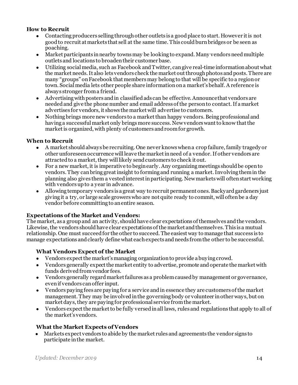#### **How to Recruit**

- Contacting producers selling through other outlets is a good place to start. However it is not good to recruit at markets that sell at the same time. This could burn bridges or be seen as poaching.
- Market participants in nearby towns may be looking to expand. Many vendors need multiple outlets and locations to broaden their customer base.
- Utilizing social media, such as Facebook andTwitter, can give real-time information about what the market needs. It also lets vendors check the market out through photos and posts. There are many "groups" on Facebook that members may belong to that will be specific to a region or town. Social media lets other people share information on a market'sbehalf. A reference is always stronger from a friend.
- Advertisingwith posters and in classified ads can be effective.Announce that vendors are needed and give the phone number and email address of the person to contact.If a market advertises for vendors, it shows the market will advertise to customers.
- Nothing brings more new vendors to a market than happy vendors. Being professional and having a successful market only brings more success. New vendors want to know that the market is organized, with plenty of customers and room for growth.

#### **When to Recruit**

- A market should always be recruiting. One never knowswhen a crop failure, family tragedy or other unforeseen occurrence will leave the market in need of a vendor. If other vendors are attracted to a market, they will likely send customers to check it out.
- For a new market, it is imperative to begin early. Any organizing meetings should be open to vendors. They can bring great insight to forming and running a market.Involving them in the planning also gives them a vested interest in participating. New markets will often start working with vendors up to a year in advance.
- Allowing temporary vendors is a great way to recruit permanent ones. Backyard gardeners just giving it a try, or large scale growers who are not quite ready to commit, will often be a day vendor before committing to an entire season.

#### **Expectations of the Market and Vendors:**

The market, as a group and an activity, should have clear expectations of themselves and the vendors. Likewise, the vendors should have clear expectations of the market and themselves. This is a mutual relationship. One must succeed for the other to succeed. The easiest way to manage that success is to manage expectations and clearly define what each expects and needs from the other to be successful.

#### **What Vendors Expect of the Market**

- Vendors expect the market's managing organization to provide a buying crowd.
- Vendors generally expect the market entity to advertise, promote and operate the market with funds derived from vendor fees.
- Vendors generally regard market failures as a problem caused by management or governance, even if vendors can offer input.
- Vendors paying fees are paying for a service and in essence they are customers of the market management. They may be involved in the governing body or volunteer in other ways, but on market days, they are paying for professional service from the market.
- Vendors expect the market to be fully versed in all laws, rules and regulations that apply to all of the market's vendors.

#### **What the Market Expects of Vendors**

• Markets expect vendors to abide by the market rules and agreements the vendor signs to participate in the market.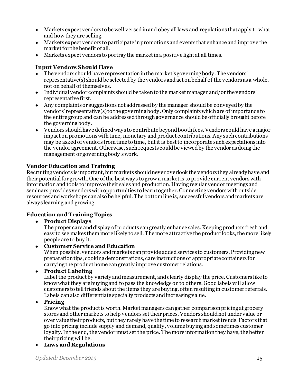- Markets expect vendors to be well versed in and obey all laws and regulations that apply to what and how they are selling.
- Markets expect vendors to participate in promotions and events that enhance and improve the market for the benefit of all.
- Markets expect vendors to portray the market in a positive light at all times.

#### **Input Vendors Should Have**

- The vendors should have representation in the market's governing body. The vendors' representative(s) should be selected by the vendors and act on behalf of the vendors as a whole, not on behalf of themselves.
- Individual vendor complaints should be taken to the market manager and/or the vendors' representative first.
- Any complaints or suggestions not addressed by the manager should be conveyedby the vendors' representative(s) to the governing body. Only complaints which are of importance to the entire group and can be addressedthrough governance should be officially brought before the governing body.
- Vendors should have defined ways to contribute beyond booth fees. Vendors could have a major impact on promotions withtime, monetary and product contributions. Any such contributions may be asked of vendors from time to time, but it is best to incorporate such expectations into the vendor agreement. Otherwise, such requests could be viewed by the vendor as doing the management or governing body's work.

#### **Vendor Education and Training**

Recruiting vendors is important, but markets should never overlook the vendors they already have and their potential for growth. One of the best ways to grow a market is to provide current vendors with information and tools to improve their sales and production. Having regular vendor meetings and seminars provides vendors with opportunities to learn together. Connecting vendors with outside resources and workshops can also be helpful. The bottom line is, successful vendors and markets are always learning and growing.

#### **Education and Training Topics**

• **Product Displays** 

The proper care and display of products can greatly enhance sales. Keeping products fresh and easy to see makes them more likely to sell. The more attractive the product looks, the more likely people are to buy it.

• **Customer Service and Education**

When possible, vendors and markets can provide added services to customers. Providing new preparation tips, cooking demonstrations, care instructions or appropriate containers for carrying the product home can greatly improve customer relations.

• **Product Labeling**

Label the product by variety and measurement, and clearly display the price. Customers like to knowwhat they are buying and to pass the knowledge onto others. Good labels will allow customers to tell friends about the items they are buying, often resulting in customer referrals. Labels can also differentiate specialty products and increasing value.

• **Pricing**

Know what the product is worth. Market managers can gather comparison pricing at grocery stores and other markets to help vendors set their prices. Vendors should not under value or over value their products, but they rarely have the time to researchmarket trends. Factors that go into pricing include supply and demand, quality, volume buying and sometimes customer loyalty.In the end, the vendor must set the price. The more information they have, the better their pricing will be.

• **Laws and Regulations**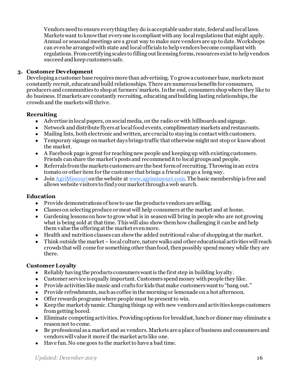Vendors need to ensure everything they do is acceptable under state, federal and local laws. Markets want to knowthat everyone is compliant with any local regulations that might apply. Annual or seasonal meetings are a great way to make sure vendors are up to date.Workshops can even be arranged with state and local officials to help vendors become compliant with regulations. From certifying scales to filling out licensing forms, resources exist to help vendors succeed and keep customers safe.

#### **3. Customer Development**

<span id="page-15-0"></span>Developing a customer base requires more than advertising. To grow a customer base, markets must constantly recruit, educate and build relationships. There are numerous benefits for consumers, producers and communities to shop at farmers' markets. In the end, consumers shop where they like to do business. If markets are constantly recruiting, educating and building lasting relationships,the crowds and the marketswill thrive.

#### **Recruiting**

- Advertise in local papers, on socialmedia, on the radio or with billboards and signage.
- Network and distribute flyers at local food events, complimentary markets and restaurants.
- Mailing lists, both electronic and written, are crucial to staying in contact with customers.
- Temporary signage on market days brings traffic that otherwise might not stop or know about the market.
- A Facebook page is great for reaching new people and keeping up with existing customers. Friends can share the market's posts and recommend it to local groups and people.
- Referrals from the markets customers are the best form of recruiting. Throwing in an extra tomato or other item for the customer that brings a friend can go a long way.
- Joi[n AgriMissouri](http://agrimissouri.com/) on the website a[t www.agrimissouri.com](http://www.agrimissouri.com/). The basic membership is free and allows website visitors to find your market through a web search.

#### **Education**

- Provide demonstrations of how to use the products vendors are selling.
- Classes on selecting produce or meat will help consumers at the market and at home.
- Gardening lessons on how to grow what is in season will bring in people who are not growing what is being sold at that time. Thiswill also show them how challenging it canbe and help them value the offering at the market even more.
- Health and nutrition classes can show the added nutritional value of shopping at the market.
- Think outside the market local culture, nature walks and other educational activities will reach crowds that will come for something other than food, then possibly spend money while they are there.

#### **Customer Loyalty**

- Reliably having the products consumers want is the first step in building loyalty.
- Customer service is equally important. Customers spend money with people they like.
- Provide activities like music and crafts for kids that make customers want to "hang out."
- Provide refreshments, such as coffee in the morning or lemonade on a hot afternoon.
- Offer rewards programs where people must be present to win.
- Keep the market dynamic. Changing things up with new vendors and activities keeps customers from getting bored.
- Eliminate competing activities. Providing options for breakfast, lunch or dinner may eliminate a reason not to come.
- Be professional as a market and as vendors. Markets are a place of business and consumers and vendors will value it more if the market acts like one.
- Have fun. No one goes to the market to have a bad time.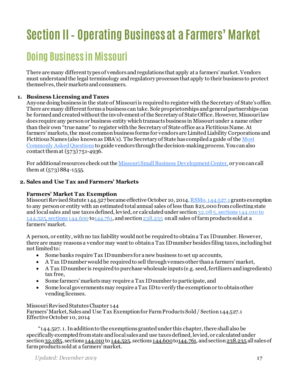## <span id="page-16-0"></span>**Section II– Operating Business at a Farmers' Market**

### <span id="page-16-1"></span>**Doing Business in Missouri**

There are many different types of vendors and regulations that apply at a farmers' market. Vendors must understand the legal terminology and regulatory processes that apply to their business to protect themselves, their markets and consumers.

#### **1. Business Licensing and Taxes**

<span id="page-16-2"></span>Anyone doing business in the state of Missouri is required to register with the Secretary of State's office. There are many different forms a business can take. Sole proprietorships and general partnerships can be formed and created without the involvement of the Secretary of State Office. However, Missouri law does require any person or business entity which transacts business in Missouri under a name other than their own "true name" to register with the Secretary of State office as a Fictitious Name. At farmers' markets, the most common business forms for vendors are Limited Liability Corporations and Fictitious Names (also known as DBA's). The Secretary of State has compiled a guide of th[e Most](http://www.sos.mo.gov/business/faqs.asp)  [Commonly Asked Questions](http://www.sos.mo.gov/business/faqs.asp) to guide vendors through the decision-making process. You can also contact them at (573) 751-4936.

For additional resources check out th[e Missouri Small Business Development Center](https://sbdc.missouri.edu/), or you can call them at (573) 884-1555.

#### <span id="page-16-3"></span>**2. Sales and Use Tax and Farmers' Markets**

#### **Farmers' Market Tax Exemption**

Missouri Revised Statute 144.527 became effective October 10, 2014[. RSMo. 144.527.1](http://revisor.mo.gov/main/OneSection.aspx?section=144.527&bid=7439&hl=) grants exemption to any person or entity with an estimated total annual sales of less than \$25,000 from collecting state and local sales and use taxes defined, levied, or calculated under section 32.085, sections [144.010](https://revisor.mo.gov/main/OneChapterRng.aspx?tb1=144.010%20to%20144.525) to [144.525](http://www.moga.mo.gov/mostatutes/stathtml/14400005251.html), sections [144.600](https://revisor.mo.gov/main/OneSection.aspx?section=144.600&bid=7440&hl=144.600%25u2044) t[o144.761](https://revisor.mo.gov/main/OneSection.aspx?section=144.761&bid=7476&hl=144.761%25u2044), and sectio[n238.235](https://revisor.mo.gov/main/OneSection.aspx?section=238.235&bid=12738&hl=238.235%25u2044) on all sales of farm products sold at a farmers' market.

A person, or entity, with no tax liability would not be required to obtain a Tax ID number. However, there are many reasons a vendor may want to obtain a Tax ID number besides filing taxes, including but not limited to:

- Some banks require Tax ID numbers for a new business to set up accounts,
- A Tax ID number would be required to sell through venues other than a farmers' market,
- A Tax ID number is required to purchase wholesale inputs (e.g. seed, fertilizers and ingredients) tax free,
- Some farmers' markets may require a Tax ID number to participate, and
- Some local governments may require a Tax ID to verify the exemption or to obtain other vending licenses.

#### Missouri Revised Statutes Chapter 144

Farmers' Market, Sales and Use Tax Exemption for Farm Products Sold / Section 144.527.1 Effective October 10, 2014

"144.527. 1. In addition to the exemptions granted under this chapter, there shall also be specifically exempted from state and local sales and use taxes defined, levied, or calculated under section 32.085, sections [144.010](http://www.moga.mo.gov/mostatutes/stathtml/14400000101.html) to [144.525](http://www.moga.mo.gov/mostatutes/stathtml/14400005251.html), sections [144.600](http://www.moga.mo.gov/mostatutes/stathtml/14400006001.html) to 144.761, and section 238.235 all sales of farm products sold at a farmers' market.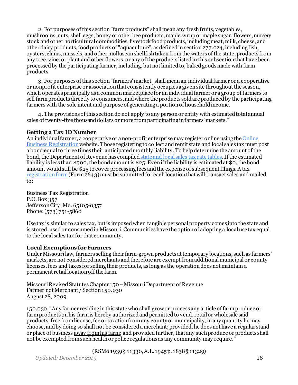2. For purposes of this section "farm products" shall mean any fresh fruits, vegetables, mushrooms, nuts, shell eggs, honey or other bee products, maple syrup or maple sugar, flowers, nursery stock and other horticultural commodities, livestock food products, including meat, milk, cheese, and other dairy products, food products of "aquaculture", as defined in sectio[n277.024](http://www.moga.mo.gov/mostatutes/stathtml/27700000241.html), including fish, oysters, clams, mussels, and other molluscan shellfish taken from the waters of the state, products from any tree, vine, or plant and other flowers, or any of the products listed in this subsection that have been processed by the participating farmer, including, but not limited to, baked goods made with farm products.

3. For purposes of this section "farmers' market" shall mean an individual farmer or a cooperative or nonprofit enterprise or association that consistently occupies a given site throughout the season, which operates principally as a common marketplace for an individual farmer or a group of farmers to sell farm products directly to consumers, and where the products sold are produced by the participating farmers with the sole intent and purpose of generating a portion of household income.

4. The provisions of this section do not apply to any person or entity with estimated total annual sales of twenty-five thousand dollars or more from participating in farmers' markets."

#### **Getting a Tax ID Number**

An individual farmer, a cooperative or a non-profit enterprise may register online using the [Online](http://dor.mo.gov/business/register/)  [Business Registration](http://dor.mo.gov/business/register/) website. Those registering to collect and remit state and local sales tax must post a bond equal to three times their anticipated monthly liability. To help determine the amount of the bond, the Department of Revenue has compile[d state and local sales tax rate tables.](https://dor.mo.gov/pdf/rates/2020/jan2020.pdf) If the estimated liability is less than \$500, the bond amount is \$25. Even if the liability is estimated at \$0, the bond amount would still be \$25 to cover processing fees and the expense of subsequent filings. A tax [registration form](http://dor.mo.gov/forms/)(Form 2643) must be submitted for each location that will transact sales and mailed to:

Business Tax Registration P.O.Box 357 Jefferson City, Mo. 65105-0357 Phone: (573) 751-5860

Use tax is similar to sales tax, but is imposed when tangible personal property comes into the state and is stored, used or consumed in Missouri. Communities have the option of adopting a local use tax equal to the local sales tax for that community.

#### <span id="page-17-0"></span>**Local Exemptions for Farmers**

Under Missourilaw, farmers selling their farm-grown products at temporary locations, such as farmers' markets, are not considered merchants and therefore are exempt from additional municipal or county licenses, fees and taxes for selling their products, as long as the operationdoes not maintain a permanent retail location off the farm.

Missouri Revised Statutes Chapter 150–Missouri Department of Revenue Farmer not Merchant / Section 150.030 August 28, 2009

150.030. "Any farmer residing in this state who shall grow or process any article of farm produce or farm products on his farm is hereby authorized and permitted to vend, retail or wholesale said products, free from license, fee or taxation from any county or municipality, in any quantity he may choose, and by doing so shall not be considered a merchant; provided, he does not have a regular stand or place of business away from his farm; and provided further, that any such produce or products shall not be exempted from such health or police regulations as any community may require."

(RSMo 1939 § 11330, A.L. 1945 p. 1838 § 11329)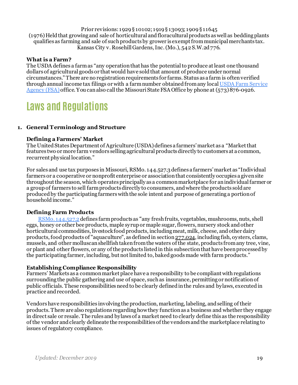Prior revisions: 1929 § 10102; 1919 § 13093; 1909 § 11645 (1976) Held that growing and sale of horticultural and floracultural products as well as bedding plants qualifies as farming and sale of such products by grower is exempt from municipal merchants tax. Kansas City v. Rosehill Gardens, Inc. (Mo.), 542 S.W.2d 776.

#### <span id="page-18-0"></span>**What is a Farm?**

The USDA defines a farm as "any operation that has the potential to produce at least one thousand dollars of agricultural goods or that would have sold that amount of produce under normal circumstances." There are no registration requirements for farms. Status as a farm is often verified through annual income tax filings or with a farm number obtained from any loca[l USDA Farm Service](http://offices.sc.egov.usda.gov/locator/app?state=mo&agency=fsa)  [Agency \(FSA\)](http://offices.sc.egov.usda.gov/locator/app?state=mo&agency=fsa)office. You canalso call the Missouri State FSA Office by phone at (573) 876-0926.

### <span id="page-18-1"></span>**Laws and Regulations**

#### **1. General Terminology and Structure**

#### <span id="page-18-2"></span>**Defining a Farmers' Market**

The United States Department of Agriculture (USDA) defines a farmers' market as a "Market that features two or more farm vendors selling agricultural products directly to customers at a common, recurrent physical location."

For sales and use tax purposes in Missouri, RSMo. 144.527.3 defines a farmers' market as "Individual farmers or a cooperative or nonprofit enterprise or association that consistently occupies a given site throughout the season, which operates principally as a common marketplace for an individual farmer or a group of farmers to sell farm products directly to consumers, and where the products sold are produced by the participating farmers with the sole intent and purpose of generating a portion of household income."

#### **Defining Farm Products**

[RSMo. 144.527.2](http://revisor.mo.gov/main/OneSection.aspx?section=144.527&bid=7439&hl=) defines farm products as "any fresh fruits, vegetables, mushrooms, nuts, shell eggs, honey or other bee products, maple syrup or maple sugar, flowers, nursery stock and other horticultural commodities, livestock food products, including meat, milk, cheese, and other dairy products, food products of "aquaculture", as defined in sectio[n277.024,](https://revisor.mo.gov/main/OneSection.aspx?section=277.024&bid=14847&hl=277.024%25u2044) including fish, oysters, clams, mussels, and other molluscan shellfish taken from the waters of the state, products from any tree, vine, or plant and other flowers, or any of the products listed in this subsection that have been processed by the participating farmer, including, but not limited to, baked goods made with farm products."

#### <span id="page-18-3"></span>**Establishing Compliance Responsibility**

Farmers' Markets as a common market place have a responsibility to be compliant with regulations surrounding the public gathering and use of space, such as insurance, permitting or notification of public officials. These responsibilities need to be clearly defined in the rules and bylaws, executed in practice and recorded.

<span id="page-18-4"></span>Vendors have responsibilities involving the production, marketing, labeling, and selling of their products. There are also regulations regarding how they functionas a business and whether they engage in direct sale or resale. The rules and bylaws of a market need to clearly define this as the responsibility of the vendor and clearly delineate the responsibilities of the vendors and the marketplace relating to issues of regulatory compliance.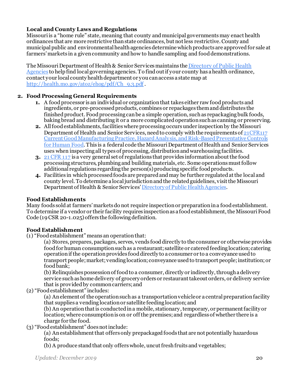#### **Local and County Laws and Regulations**

Missouri is a "home rule" state, meaning that county and municipal governments may enact health ordinances that are more restrictive than state ordinances, but not less restrictive. County and municipal public and environmental health agencies determine which products are approved for sale at farmers' markets in a given community and how to handle sampling and food demonstrations.

The Missouri Department of Health & Senior Services maintains th[e Directory of Public Health](http://health.mo.gov/living/lpha/lphas.php)  [Agencies](http://health.mo.gov/living/lpha/lphas.php) to help find local governing agencies. To find out if your county has a health ordinance, contact your local county health department or you can access a state map at [http://health.mo.gov/atoz/ehog/pdf/Ch\\_9.3.pdf](http://health.mo.gov/atoz/ehog/pdf/Ch_9.3.pdf) .

#### <span id="page-19-0"></span>**2. Food Processing General Requirements**

- **1.** A food processor is an individual or organization that takes either raw food products and ingredients, or pre-processed products, combines or repackages them and distributes the finished product. Food processing can be a simple operation, such as repackaging bulk foods, baking bread and distributing it or a more complicated operation such as canning or preserving.
- **2.** All food establishments, facilities where processing occurs under inspection by the Missouri Department of Health and Senior Services, need to comply with the requirements o[f 21CFR117](https://www.accessdata.fda.gov/scripts/cdrh/cfdocs/cfcfr/CFRSearch.cfm?CFRPart=117&showFR=1)  [Current Good Manufacturing Practice, Hazard Analysis, and Risk-Based Preventative Controls](https://www.accessdata.fda.gov/scripts/cdrh/cfdocs/cfcfr/CFRSearch.cfm?CFRPart=117&showFR=1)  [for Human Food.](https://www.accessdata.fda.gov/scripts/cdrh/cfdocs/cfcfr/CFRSearch.cfm?CFRPart=117&showFR=1) This is a federal code the Missouri Department of Health and Senior Services uses when inspecting all types of processing, distribution and warehousing facilities.
- **3.** [21 CFR 117](https://www.accessdata.fda.gov/scripts/cdrh/cfdocs/cfcfr/CFRSearch.cfm?CFRPart=117&showFR=1) is a very general set of regulations that provides information about the food processing structures, plumbing and building materials, etc. Some operations must follow additional regulations regarding the person(s)producing specific food products.
- **4.** Facilities in which processed foods are prepared and may be further regulatedat the local and county level. To determine a local jurisdiction and the related guidelines, visit the Missouri Department of Health & Senior Service[s' Directory of Public Health Agencies](http://health.mo.gov/living/lpha/lphas.php).

#### <span id="page-19-1"></span>**Food Establishments**

Many foods sold at farmers' markets do not require inspection or preparation in a food establishment. To determine if a vendor or their facility requires inspection as a food establishment, the Missouri Food Code (19 CSR 20-1.025) offers the following definition.

#### **Food Establishment**

(1) "Food establishment" means an operation that:

(a) Stores, prepares, packages, serves, vends food directly to the consumer or otherwise provides food for human consumption such as a restaurant; satellite or catered feeding location; catering operation if the operation provides food directly to a consumer or to a conveyance used to transport people; market; vending location; conveyance used to transport people; institution; or food bank;

(b) Relinquishes possession of food to a consumer, directly or indirectly, through a delivery service such as home delivery of grocery orders or restaurant takeout orders, or delivery service that is provided by common carriers; and

(2) "Food establishment" includes:

(a) An element of the operation such as a transportation vehicle or a central preparation facility that supplies a vending location or satellite feeding location; and

(b) An operation that is conducted in a mobile, stationary, temporary, or permanent facility or location; where consumption is on or off the premises; and regardless of whether there is a charge for the food.

(3) "Food establishment" does not include:

(a) An establishment that offers only prepackaged foods that are not potentially hazardous foods;

(b) A produce stand that only offers whole, uncut fresh fruits and vegetables;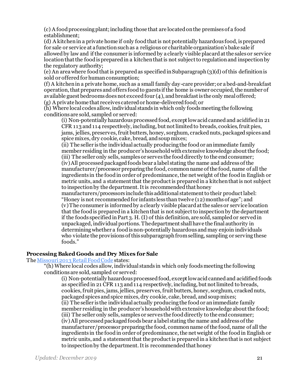(c) A food processing plant; including those that are located on the premises of a food establishment;

(d) A kitchen in a private home if only food that is not potentially hazardous food, is prepared for sale or service at a function such as a religious or charitable organization's bake sale if allowed by law and if the consumer is informed by a clearly visible placard at the sales or service location that the food is prepared in a kitchen that is not subject to regulation and inspection by the regulatory authority;

(e) An area where food that is prepared as specified in Subparagraph (3)(d) of this definition is sold or offered for human consumption;

(f) A kitchen in a private home, such as a small family day-care provider; or a bed-and-breakfast operation, that prepares and offers food to guests if the home is owner occupied, the number of available guest bedrooms does not exceed four (4), and breakfast is the only meal offered; (g) A private home that receives catered or home-delivered food; or

(h) Where local codes allow, individual stands in which only foods meeting the following conditions are sold, sampled or served:

(i) Non-potentially hazardous processed food, except low acid canned and acidified in 21 CFR 113 and 114 respectively, including, but not limited to breads, cookies, fruit pies, jams, jellies, preserves, fruit butters, honey, sorghum, cracked nuts, packaged spices and spice mixes, dry cookie, cake, bread, and soup mixes;

(ii) The seller is the individual actually producing the food or an immediate family member residing in the producer's household with extensive knowledge about the food; (iii) The seller only sells, samples or serves the food directly to the end consumer; (iv) All processed packaged foods bear a label stating the name and address of the manufacturer/processor preparing the food, common name of the food, name of all the ingredients in the food in order of predominance, the net weight of the foodin English or metric units, and a statement that the product is prepared in a kitchen that is not subject to inspection by the department. It is recommended that honey

manufacturers/processors include this additional statement to their product label: "Honey is not recommended for infants less than twelve (12) months of age"; and (v) The consumer is informed by a clearly visible placard at the sales or service location that the food is prepared in a kitchen that is not subject to inspection by the department if the foods specified in Part 3. H. (I) of this definition, are sold, sampled or served in unpackaged, individual portions. The department shall have the final authority in determining whether a food is non-potentially hazardous and may enjoin individuals who violate the provisions of this subparagraph from selling, sampling or serving these foods."

#### <span id="page-20-0"></span>**Processing Baked Goods and Dry Mixes for Sale**

#### The Missouri 2013 [Retail Food Code](https://health.mo.gov/safety/foodsafety/pdf/missourifoodcode.pdf) states:

"(h) Where local codes allow, individual stands in which only foods meeting the following conditions are sold, sampled or served:

(i) Non-potentially hazardous processed food, except low acid canned and acidified foods as specified in 21 CFR 113 and 114 respectively, including, but not limited to breads, cookies, fruit pies, jams, jellies, preserves, fruit butters, honey, sorghum, cracked nuts, packaged spices and spice mixes, dry cookie, cake, bread, and soup mixes; (ii) The seller is the individual actually producing the food or an immediate family member residing in the producer's household with extensive knowledge about the food; (iii) The seller only sells, samples or serves the food directly to the end consumer; (iv) All processed packaged foods bear a label stating the name and address of the manufacturer/processor preparing the food, common name of the food, name of all the ingredients in the food in order of predominance, the net weight of the food in English or metric units, and a statement that the product is prepared in a kitchen that is not subject to inspection by the department. It is recommended that honey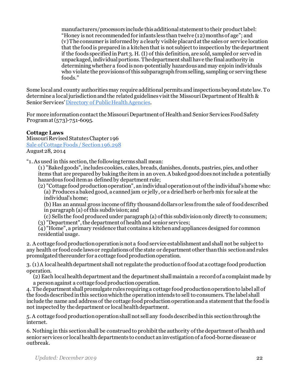manufacturers/processors include this additional statement to their product label: "Honey is not recommended for infants less than twelve (12) months of age"; and (v) The consumer is informed by a clearly visible placard at the sales or service location that the food is prepared in a kitchen that is not subject to inspection by the department if the foods specified in Part 3. H. (I) of this definition, are sold, sampled or served in unpackaged, individual portions. The department shall have the final authority in determining whether a food is non-potentially hazardous and may enjoin individuals who violate the provisions of this subparagraph from selling, sampling or serving these foods."

Some local and county authorities may require additional permits and inspections beyond state law. To determine a local jurisdiction and the related guidelines visit the Missouri Department of Health & Senior Service[s' Directory of Public Health Agencies](http://health.mo.gov/living/lpha/lphas.php).

For more information contact the Missouri Department of Health and Senior Services Food Safety Program at (573)-751-6095.

#### <span id="page-21-0"></span>**Cottage Laws**

Missouri Revised Statutes Chapter 196 [Sale of Cottage Foods / Section 196.298](http://revisor.mo.gov/main/OneSection.aspx?section=196.298&bid=10168&hl=) August 28, 2014

"1. As used in this section, the following terms shall mean:

(1) "Baked goods", includes cookies, cakes, breads, danishes, donuts, pastries, pies, and other items that are prepared by baking the item in an oven. A baked good does not include a potentially hazardous food item as defined by department rule;

(2) "Cottage food production operation", an individual operation out of the individual's home who: (a) Produces a baked good, a canned jam or jelly, or a dried herb or herb mix for sale at the individual's home;

(b) Has an annual gross income of fifty thousand dollars or less from the sale of food described in paragraph (a) of this subdivision; and

(c) Sells the food produced under paragraph (a) of this subdivision only directly to consumers; (3) "Department", the department of health and senior services;

(4) "Home", a primary residence that contains a kitchen and appliances designed for common residential usage.

2. A cottage food production operation is not a food service establishment and shall not be subject to any health or food code laws or regulations of the state or department other than this section and rules promulgated thereunder for a cottage food production operation.

3. (1) A local health department shall not regulate the production of food at a cottage food production operation.

(2) Each local health department and the department shall maintain a record of a complaint made by a person against a cottage food production operation.

4. The department shall promulgate rules requiring a cottage food production operation to label all of the foods described in this section which the operation intends to sell to consumers. The label shall include the name and address of the cottage food production operation and a statement that the food is not inspected by the department or local health department.

5. A cottage food production operation shall not sell any foods described in this section through the internet.

6. Nothing in this section shall be construed to prohibit the authority of the department of health and senior services or local health departments to conduct an investigation of a food-borne disease or outbreak.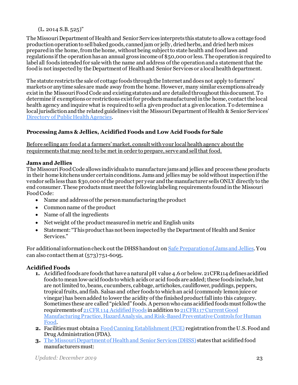$(L. 2014 S.B. 525)$ "

The Missouri Department of Health and Senior Services interprets this statute to allowa cottage food production operationto sell baked goods, canned jam or jelly, dried herbs, and dried herb mixes prepared in the home, from the home, without being subject to state health and food laws and regulations if the operationhas an annual gross income of \$50,000 or less. The operation is required to label all foods intended for sale with the name and address of the operation and a statement that the food is not inspected by the Department of Health and Senior Services or a local health department.

The statute restricts the sale of cottage foods through the Internet and does not apply to farmers' markets or anytime sales are made away from the home. However, many similar exemptions already exist in the Missouri Food Code and existing statutes and are detailed throughout this document. To determine if exemptions or restrictions exist for products manufactured in the home, contact the local health agency and inquire what is required to sell a given product at a given location. To determine a local jurisdiction and the related guidelines visit the Missouri Department of Health & Senior Services' [Directory of Public Health Agencies](http://health.mo.gov/living/lpha/lphas.php).

#### <span id="page-22-0"></span>**Processing Jams & Jellies, Acidified Foods and Low Acid Foods for Sale**

Before selling any food at a farmers' market, consult with your local health agency about the requirements that may need to be met in order to prepare, serve and sell that food.

#### **Jams and Jellies**

The Missouri Food Code allows individuals to manufacture jams and jellies and process these products in their home kitchens under certain conditions. Jams and jellies may be sold without inspection if the vendor sells less than \$30,000 of the product per year and the manufacturer sells ONLY directly to the end consumer. These products must meet the following labeling requirements found in the Missouri Food Code:

- Name and address of the person manufacturing the product
- Common name of the product
- Name of all the ingredients
- Net weight of the product measured in metric and English units
- Statement: "This product has not been inspected by the Department of Health and Senior Services."

For additional information check out the DHSS handout o[n Safe Preparation of Jams and Jellies.](https://health.mo.gov/safety/foodsafety/pdf/JamsJelliesBakedGoodsBrochure.pdf) You can also contact them at (573) 751-6095.

#### **Acidified Foods**

- **1.** Acidified foods are foods that have a natural pH value 4.6 or below. 21CFR114 defines acidified foods to mean low-acid foods to which acids or acid foods are added; these foods include, but are notlimited to, beans, cucumbers, cabbage, artichokes, cauliflower, puddings, peppers, tropical fruits, and fish. Salsas and other foods to which an acid (commonly lemon juice or vinegar) has been added to lower the acidity of the finished product fall into this category. Sometimes these are called "pickled" foods.A person who cans acidified foods must follow the requirements o[f 21CFR 114 Acidified Foods](http://www.ecfr.gov/cgi-bin/text-idx?c=ecfr&sid=76b92a612816f429f6f319c0887e13f1&rgn=div5&view=text&node=21:2.0.1.1.13&idno=21) in addition t[o 21CFR117 Current Good](https://www.accessdata.fda.gov/scripts/cdrh/cfdocs/cfcfr/CFRSearch.cfm?CFRPart=117&showFR=1)  [Manufacturing Practice, Hazard Analysis, and Risk-Based Preventative Controls for Human](https://www.accessdata.fda.gov/scripts/cdrh/cfdocs/cfcfr/CFRSearch.cfm?CFRPart=117&showFR=1)  [Food.](https://www.accessdata.fda.gov/scripts/cdrh/cfdocs/cfcfr/CFRSearch.cfm?CFRPart=117&showFR=1)
- **2.** Facilities must obtain [a Food Canning Establishment \(FCE\)](http://www.fda.gov/downloads/aboutFDA/ReportsManualsForms/Forms/UCM076778.pdf) registration from the U.S. Food and Drug Administration (FDA).
- **3.** [The Missouri Department of Health and Senior Services](http://health.mo.gov/safety/foodsafety/industryfoods/retailfoods/farmersmarkets.php) (DHSS) states that acidified food manufacturers must: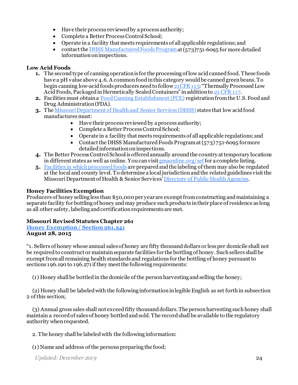- Have their process reviewed by a process authority;
- Complete a Better Process Control School;
- Operate in a facility that meets requirements of all applicable regulations; and
- contact th[e DHSS Manufactured Foods Program](http://health.mo.gov/safety/foodsafety/industryfoods/manufacturedfoods/index.php) at (573)751-6095 for more detailed information on inspections.

#### **Low Acid Foods**

- **1.** The second type of canning operation is for the processing of low acid canned food. These foods have a pH value above 4.6. A common food in this category would be canned green beans. To begin canning low-acid foods producers need to follow 21 CFR 113: "Thermally Processed Low Acid Foods, Packaged in Hermetically Sealed Containers" in additiont[o 21 CFR 117](https://www.accessdata.fda.gov/scripts/cdrh/cfdocs/cfcfr/CFRSearch.cfm?CFRPart=117&showFR=1).
- **2.** Facilities must obtain [a Food Canning Establishment \(FCE\)](http://www.fda.gov/downloads/aboutFDA/ReportsManualsForms/Forms/UCM076778.pdf) registration from the U.S. Food and Drug Administration (FDA).
- **3.** Th[e Missouri Department of Health and Senior Services \(DHSS\)](http://health.mo.gov/safety/foodsafety/industryfoods/manufacturedfoods/) states that low acid food manufactures must:
	- Have their process reviewed by a process authority;
	- Complete a Better Process Control School:
	- Operate in a facility that meets requirements of all applicable regulations; and
	- Contact the DHSS Manufactured Foods Program at  $(573)751-6095$  for more detailed information on inspections.
- **4.** The Better Process Control School is offered annually around the country at temporary locations in different states as well as online. You can visit  $\frac{g_{\text{m}a}}{g_{\text{m}a}}$  online.  $\frac{g_{\text{r}a}}{g_{\text{r}a}}$  for a complete listing.
- **5.** [Facilities in which processed foods](http://health.mo.gov/safety/foodsafety/pdf/Processor_Brochure.pdf) are prepared and the labeling of them may also be regulated at the local and county level. To determine a local jurisdiction and the related guidelines visit the Missouri Department of Health & Senior Services[' Directory of Public Health Agencies](http://health.mo.gov/living/lpha/lphas.php).

#### <span id="page-23-0"></span>**Honey Facilities Exemption**

Producers of honey selling less than \$50,000 per year are exempt from constructing and maintaining a separate facility for bottling of honey and may produce such products in their place of residence as long as all other safety, labeling and certification requirements are met.

#### **Missouri Revised Statutes Chapter 261**

**[Honey Exemption/ Section 261.241](http://revisor.mo.gov/main/OneSection.aspx?section=261.241&bid=14100&hl=) August 28, 2015**

"1. Sellers of honey whose annual sales of honey are fifty thousand dollars or less per domicile shall not be required to construct or maintain separate facilities for the bottling of honey. Such sellers shall be exempt from all remaining health standards and regulations for the bottling of honey pursuant to sections 196.190 to 196.271 if they meet the following requirements:

(1) Honey shall be bottled in the domicile of the person harvesting and selling the honey;

(2) Honey shall be labeled with the following information in legible English as set forth in subsection 2 of this section;

(3) Annual gross sales shall not exceed fifty thousand dollars. The person harvesting such honey shall maintain a record of sales of honey bottled and sold. The record shall be available to the regulatory authority when requested.

2. The honey shall be labeled with the following information:

(1) Name and address of the persons preparing the food;

*Updated: December 2019* 24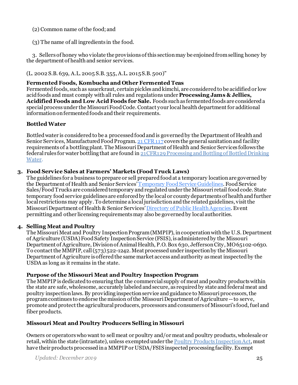#### (2) Common name of the food; and

(3) The name of all ingredients in the food.

3. Sellers of honey who violate the provisions of this section may be enjoined from selling honey by the department of health and senior services.

(L. 2002 S.B. 639, A.L. 2005 S.B. 355, A.L. 2015 S.B. 500)"

#### <span id="page-24-0"></span>**Fermented Foods, Kombucha and Other Fermented Teas**

Fermented foods, such as sauerkraut, certain pickles and kimchi, are considered to be acidified or low acid foods and must comply with all rules and regulations under **Processing Jams & Jellies, Acidified Foods and Low Acid Foods for Sale.** Foods such as fermented foods are considered a special process under the Missouri Food Code. Contact your local health department for additional information on fermented foods and their requirements.

#### <span id="page-24-1"></span>**Bottled Water**

Bottled water is considered to be a processed food and is governed by the Department of Health and Senior Services, Manufactured Food Program[. 21 CFR 117](https://www.accessdata.fda.gov/scripts/cdrh/cfdocs/cfcfr/CFRSearch.cfm?CFRPart=117&showFR=1) covers the general sanitation and facility requirements of a bottling plant. The Missouri Department of Health and Senior Services follows the federal rules for water bottling that are found in  $21$ CFR129 Processing and Bottling of Bottled Drinking [Water.](http://www.ecfr.gov/cgi-bin/retrieveECFR?gp=&SID=d26e287c93ddfdc1dcc06d9b896b5d5f&r=PART&n=21y2.0.1.1.19)

#### **3. Food Service Sales at Farmers' Markets (Food Truck Laws)**

<span id="page-24-2"></span>The guidelines for a business to prepare or sell prepared food at a temporary locationare governed by the Department of Health and Senior Service[s' Temporary Food Service Guidelines](http://health.mo.gov/safety/foodsafety/pdf/TempFoodServiceGuide.pdf). Food Service Sales/Food Trucks are considered temporary and regulated under the Missouri retail food code. State temporary food service guidelines are enforced by the local or county departments of healthand further local restrictions may apply. To determine a local jurisdiction and the related guidelines, visit the Missouri Department of Health & Senior Services[' Directory of Public Health Agencies](http://health.mo.gov/living/lpha/lphas.php). Event permitting and other licensing requirements may also be governed by local authorities.

#### **4. Selling Meat and Poultry**

<span id="page-24-3"></span>The Missouri Meat and Poultry Inspection Program (MMPIP), in cooperation with the U.S. Department of Agriculture (USDA) Food Safety Inspection Service (FSIS), is administered by the Missouri Department of Agriculture, Division of Animal Health, P.O. Box 630, Jefferson City, MO 65102-0630. To contact the MMPIP, call  $(573)522$ -1242. Meat processed under inspection by the Missouri Department of Agriculture is offered the same market access and authority as meat inspected by the USDA as long as it remains in the state.

#### <span id="page-24-4"></span>**Purpose of the Missouri Meat and Poultry Inspection Program**

The MMPIP is dedicated to ensuring that the commercial supply of meat and poultry products within the state are safe, wholesome, accurately labeled and secure, as required by state and federal meat and poultry inspection laws. By providing inspection service and guidance to Missouri processors, the program continues to endorse the mission of the Missouri Department of Agriculture --to serve, promote and protect the agricultural producers, processors and consumers of Missouri's food, fuel and fiber products.

#### <span id="page-24-5"></span>**Missouri Meat and Poultry Producers Selling in Missouri**

Owners or operators who want to sell meat or poultry and/or meat and poultry products, wholesale or retail, within the state (intrastate), unless exempted under the Poultry Products Inspection Act, must have their products processed in a MMPIP or USDA/FSIS inspected processing facility. Exempt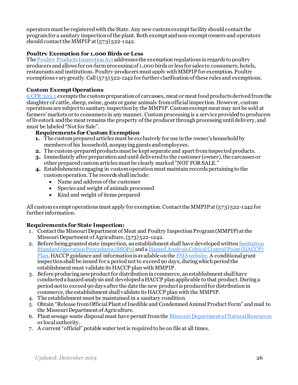operators must be registered with the State. Any new custom exempt facility should contact the program for a sanitary inspection of the plant. Both exempt and non-exempt owners and operators should contact the MMPIP at  $(573)$ 522-1242.

#### <span id="page-25-0"></span>**Poultry Exemption for 1,000 Birds or Less**

The Poultry Products Inspection Act addresses the exemption regulations in regards to poultry producers and allows for on-farm processing of 1,000 birds or less for sales to consumers, hotels, restaurants and institutions. Poultry producers must apply with MMPIP for exemption. Poultry exemptions vary greatly. Call  $(573)$  522-1242 for further clarification of these rules and exemptions.

#### <span id="page-25-1"></span>**Custom Exempt Operations**

[9 CFR 303.1](https://www.govinfo.gov/content/pkg/CFR-2020-title9-vol2/pdf/CFR-2020-title9-vol2-sec301-1.pdf) exempts the custom preparation of carcasses, meat or meat food products derived from the slaughter of cattle, sheep, swine, goats or game animals from official inspection. However, custom operations are subject to sanitary inspection by the MMPIP. Custom exempt meat may not be sold at farmers' markets or to consumers in any manner. Custom processing is a service provided to producers of livestock and the meat remains the property of the producer through processing until delivery, and must be labeled "Not for Sale".

#### **Requirements for Custom Exemption**

- **1.** The custom prepared articles must be exclusively for use in the owner's household by members of his household, nonpaying guests and employees.
- **2.** The custom-prepared products must be kept separate and apart from inspected products.
- **3.** Immediately after preparation and until delivered to the customer (owner), the carcasses or other prepared custom articles must be clearly marked "NOT FOR SALE."
- **4.** Establishments engaging in custom operation must maintain records pertaining to the custom operation. The records shall include:
	- Name and address of the customer
	- Species and weight of animals processed
	- Kind and weight of items prepared

<span id="page-25-2"></span>All custom exempt operations must apply for exemption. Contact the MMPIP at (573) 522-1242 for further information.

#### **Requirements for State Inspection:**

- 1. Contact the Missouri Department of Meat and Poultry Inspection Program (MMPIP) at the Missouri Department of Agriculture, (573) 522-1242.
- 2. Before being granted state inspection, an establishment shall have developed written Sanitation [Standard Operation Procedures \(SSOPs\)](https://www.ecfr.gov/cgi-bin/text-idx?SID=d13cebeb9bb0e5f2f20d0f2c7041e18e&mc=true&node=pt9.2.416&rgn=div5#se9.2.416_112) and a Hazard Analysis Critical Control Point (HACCP) [Plan.](https://www.fsis.usda.gov/wps/portal/fsis/topics/regulatory-compliance/haccp/resources-and-information/svsp-resources) HACCP guidance and information is available on the [FSIS website.](https://www.fsis.usda.gov/wps/portal/fsis/topics/regulatory-compliance/haccp/haccp) A conditional grant inspection shall be issued for a period not to exceed 90 days, during which period the establishment must validate its HACCP plan with MMPIP.
- 3. Before producing new product for distribution in commerce, an establishment shall have conducted a hazard analysis and developed a HACCP plan applicable to that product. During a period not to exceed 90 days after the date the new product is produced for distribution in commerce, the establishment shall validate its HACCP plan with the MMPIP.
- 4. The establishment must be maintained in a sanitary condition.
- 5. Obtain "Release from Official Plant of Inedible and Condemned Animal Product Form" and mail to the Missouri Department of Agriculture.
- 6. Plant sewage waste disposal must have permit from th[e Missouri Department of Natural Resources](https://dnr.mo.gov/) or local authority.
- 7. A current "official" potable water test is required to be on file at all times.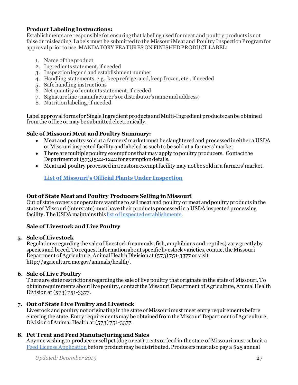#### **Product Labeling Instructions:**

Establishments are responsible for ensuring that labeling used for meat and poultry products is not false or misleading. Labels must be submitted to the Missouri Meat and Poultry Inspection Program for approval prior to use. MANDATORY FEATURES ON FINISHED PRODUCT LABEL:

- 1. Name of the product
- 2. Ingredients statement, if needed
- 3. Inspection legend and establishment number
- 4. Handling statements, e.g., keep refrigerated, keep frozen, etc., if needed
- 5. Safe handling instructions
- 6. Net quantity of contents statement, if needed
- 7. Signature line (manufacturer's or distributor's name and address)
- 8. Nutrition labeling, if needed

Label approval forms for Single Ingredient products and Multi-Ingredient products can be obtained from the office or may be submitted electronically.

#### **Sale of Missouri Meat and Poultry Summary:**

- Meat and poultry sold at a farmers' market must be slaughtered and processed in either a USDA or Missouri inspected facility and labeled as such to be sold at a farmers' market.
- There are multiple poultry exemptions that may apply to poultry producers. Contact the Department at (573) 522-1242 for exemption details.
- Meat and poultry processed in a custom exempt facility may not be sold in a farmers' market.

#### **[List of Missouri's Official Plants Under Inspection](http://mda.mo.gov/animals/health/inspections/officialplants.php)**

#### <span id="page-26-0"></span>**Out of State Meat and Poultry Producers Selling in Missouri**

Out of state owners or operators wanting to sell meat and poultry or meat and poultry products in the state of Missouri (interstate) must have their products processed in a USDA inspected processing facility. The USDA maintains thi[s list of inspected establishments.](http://www.fsis.usda.gov/wps/portal/fsis/topics/inspection/mpi-directory)

#### <span id="page-26-1"></span>**Sale of Livestock and Live Poultry**

#### **5. Sale of Livestock**

<span id="page-26-2"></span>Regulations regarding the sale of livestock (mammals, fish, amphibians and reptiles) vary greatly by species and breed. To request information about specific livestock varieties, contact the Missouri Department of Agriculture, Animal Health Division at  $(573)751-3377$  or visit http://agriculture.mo.gov/animals/health/.

#### **6. Sale of Live Poultry**

<span id="page-26-3"></span>There are state restrictions regarding the sale of live poultry that originate in the state of Missouri. To obtain requirements about live poultry, contact the Missouri Department of Agriculture, Animal Health Division at (573) 751-3377.

#### **7. Out of State Live Poultry and Livestock**

<span id="page-26-4"></span>Livestock and poultry not originating in the state of Missouri must meet entry requirements before entering the state. Entry requirementsmay be obtained from the Missouri Department of Agriculture, Division of Animal Health at  $(573)751-3377$ .

#### **8. Pet Treat and Feed Manufacturing and Sales**

<span id="page-26-5"></span>Anyone wishing to produce or sell pet (dog or cat) treats or feed in the state of Missouri must submit [a](http://mda.mo.gov/plants/pdf/comm_feed_lic_app.pdf)  [Feed License Application](http://mda.mo.gov/plants/pdf/comm_feed_lic_app.pdf) before product may be distributed. Producers must also pay a \$25 annual

*Updated: December 2019* 27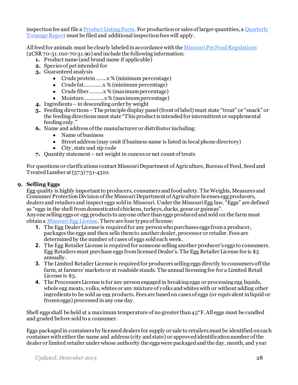inspection fee and file a [Product Listing Form.](http://mda.mo.gov/plants/pdf/product_list_pet_foods.pdf) For production or sales of larger quantities, [a Quarterly](http://mda.mo.gov/plants/pdf/feed_tonnage_report.pdf)  [Tonnage Report](http://mda.mo.gov/plants/pdf/feed_tonnage_report.pdf) must be filed and additional inspection fees will apply.

All feed for animals must be clearly labeled in accordance with th[e Missouri Pet Food Regulations](http://www.sos.mo.gov/adrules/csr/current/2csr/2c70-31.pdf) (2CSR 70-31.010-70-31.90) and include the following information:

- **1.** Product name (and brand name if applicable)
- **2.** Species of pet intended for
- **3.** Guaranteed analysis
	- Crude protein .......x % (minimum percentage)
	- Crude fat………....x % (minimum percentage)
	- Crude fiber……….x % (maximum percentage)
	- Moisture……...…..x % (maximumpercentage)
- **4.** Ingredients in descending order by weight
- **5.** Feeding directions –The principle display panel (front of label) must state "treat" or "snack" or the feeding directionsmust state "This product is intended for intermittent or supplemental feeding only."
- **6.** Name and address of the manufacturer or distributor including:
	- Name of business
	- Street address (may omit if business name is listed in local phone directory)
	- City, state and zip code
- **7.** Quantity statement net weight in ounces or net count of treats

For questions or clarifications contact Missouri Department of Agriculture, Bureau of Feed, Seedand Treated Lumber at (573)751-4310.

#### **9. Selling Eggs**

<span id="page-27-0"></span>Egg quality is highly important to producers, consumers and food safety. The Weights, Measures and Consumer Protection Division of the Missouri Department of Agriculture licenses egg producers, dealers and retailers and inspect eggs sold in Missouri. Under the Missouri Egg law, "Eggs" are defined as "eggs in the shell from domesticated chickens, turkeys, ducks, geese or guineas". Anyone selling eggs or egg products to anyone other than eggs produced and sold on the farm must obtain a Missouri Egg License. There are four types of license:

- **1.** The Egg Dealer License is required for any person who purchases eggs from a producer, packages the eggs and then sells them to another dealer, processor or retailer. Fees are determined by the number of cases of eggs sold each week.
- **2.** The Egg Retailer License is required for someone selling another producer's eggs to consumers. Egg Retailers must purchase eggs from licensed Dealer's. The Egg Retailer License fee is \$5 annually.
- **3.** The Limited Retailer License is required for producers selling eggs directly to consumers off the farm, at farmers' markets or at roadside stands. The annual licensing fee for a Limited Retail License is \$5.
- **4.** The Processors License is for any person engaged in breaking eggs or processing egg liquids, whole egg meats, yolks, whites or any mixture of yolks and whites with or without adding other ingredients to be sold as egg products. Fees are based on cases of eggs (or equivalent in liquid or frozen eggs) processed in any one day.

Shell eggs shall be held at a maximum temperature of no greater than 45°F.All eggs must be candled and graded before sold to a consumer.

Eggs packaged in containers by licensed dealers for supply or sale to retailers must be identified on each container with either the name and address (city and state) or approved identification number of the dealer or limited retailer under whose authority the eggs were packaged and the day, month, and year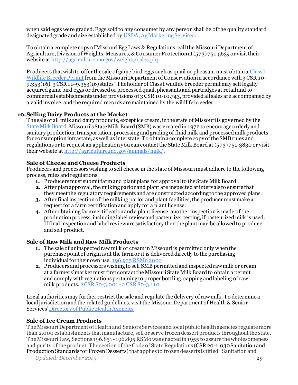when said eggs were graded. Eggs sold to any consumer by any person shall be of the quality standard designated grade and size established b[y USDA, Ag Marketing Services](https://www.ams.usda.gov/grades-standards/shell-egg-grades-and-standards).

To obtain a complete copy of Missouri Egg Laws & Regulations, call the Missouri Department of Agriculture, Division of Weights, Measures, & Consumer Protection at (573) 751-5639 or visit their website a[t http://agriculture.mo.gov/weights/rules.php](http://agriculture.mo.gov/weights/rules.php).

Producers that wish to offer the sale of game bird eggs such as quail or pheasant must obtain a [Class I](https://s1.sos.mo.gov/cmsimages/adrules/csr/current/3csr/3c10-9.pdf)  [Wildlife Breeder Permit](https://s1.sos.mo.gov/cmsimages/adrules/csr/current/3csr/3c10-9.pdf) from the Missouri Department of Conservation in accordance with 3 CSR 10-9.353(16). 3 CSR 10-9.353(16) states "The holder of Class I wildlife breeder permit may sell legally acquired game bird eggs or dressed or processed quail, pheasants and partridges at retail and to commercial establishments under provisions of 3 CSR 10-10.743, provided all sales are accompanied by a valid invoice, and the required records are maintained by the wildlife breeder.

#### <span id="page-28-0"></span>**10.Selling Dairy Products at the Market**

The sale of all milk and dairy products, except ice cream, in the state of Missouri is governed by the [State Milk Board.](http://mda.mo.gov/animals/milk/) Missouri's State Milk Board (SMB) was created in 1972 to encourage orderly and sanitary production, transportation, processing and grading of fluid milk and processed milk products for consumption intrastate, as well as interstate. To obtain a complete copy of the SMBrules and regulations or to request an application you can contact the State Milk Board at (573) 751-3830 or visit their website a[t http://agriculture.mo.gov/animals/milk/](http://agriculture.mo.gov/animals/milk/).

#### <span id="page-28-1"></span>**Sale of Cheese and Cheese Products**

Producers and processors wishing to sell cheese in the state of Missouri must adhere to the following process, rules and regulations.

- **1.** Producers must submit farm and plant plans for approval to the State Milk Board.
- **2.** After plan approval, the milking parlor and plant are inspected at intervals to ensure that they meet the regulatory requirements and are constructed according to the approved plans.
- **3.** After final inspection of the milking parlor and plant facilities, the producer must make a request for a farm certification and apply for a plant license.
- **4.** After obtaining farm certificationand a plant license, another inspection is made of the production process, including label review and pasteurizer testing, if pasteurized milk is used. If final inspection and label review are satisfactory then the plant may be allowedto produce and sell product.

#### **Sale of Raw Milk and Raw Milk Products**

- **1.** The sale of uninspected raw milk or cream in Missouri is permitted only when the purchase point of origin is at the farm or it is delivered directly to the purchasing individual for their own use[. 196.935 RSMo 2000](https://revisor.mo.gov/main/OneSection.aspx?section=196.935&bid=10279&hl=196.935%25u2044)
- **2.** Producers and processors wishing to sell SMB permitted and inspected raw milk or cream at a farmers' market must first contact the Missouri State Milk Board to obtain a permit and comply with regulations pertaining to proper bottling, capping and labeling of raw milk products. 2 CSR 80-3.001 - 2 CSR 80-3.110

Local authorities may further restrict the sale and regulate the delivery of raw milk. To determine a local jurisdiction and the related guidelines, visit the Missouri Department of Health & Senior Services[' Directory of Public Health Agencies](http://health.mo.gov/living/lpha/lphas.php)

#### **Sale of Ice Cream Products**

The Missouri Department of Health and Seniors Services and local public health agencies regulate more than 2,000 establishments that manufacture, sell or serve frozen dessert products throughout the state. The Missouri Law, Sections 196.851 - 196.895 RSMo was enacted in 1955 to assure the wholesomeness and purity of the product. The section of the Code of State Regulations (CSR 20-1.030 Sanitation and Production Standards for Frozen Desserts) that applies to frozen desserts is titled "Sanitation and

*Updated: December 2019* 29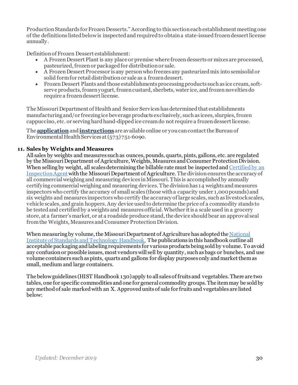Production Standards for Frozen Desserts." According to this section each establishment meeting one of the definitions listed below is inspected and required to obtain a state-issued frozen dessert license annually.

Definition of Frozen Dessert establishment:

- A Frozen Dessert Plant is any place or premise where frozen desserts or mixes are processed, pasteurized, frozen or packaged for distribution or sale.
- A Frozen Dessert Processor is any person who freezes any pasteurized mix into semisolid or solid form for retail distribution or sale as a frozen dessert.
- Frozen Dessert Plants and those establishments processing products such as ice cream, softserve products, frozen yogurt, frozen custard, sherbets, water ice, and frozen novelties do require a frozen dessert license.

The Missouri Department of Health and Senior Services has determined that establishments manufacturing and/or freezing ice beverage products exclusively, such as icees, slurpies, frozen cappuccino, etc. or serving hard hand-dipped ice cream do not require a frozen dessert license.

The **[application](http://health.mo.gov/safety/foodsafety/pdf/FDApplication.pdf)**and**[instructions](http://health.mo.gov/safety/foodsafety/pdf/FDInstructions.pdf)** are available online or you can contact the Bureau of Environmental Health Services at (573) 751-6090.

#### **11. Sales by Weights and Measures**

<span id="page-29-0"></span>All sales by weights and measures such as ounces, pounds, quarts, pints, gallons, etc. are regulated by the Missouri Department of Agriculture, Weights, Measures and Consumer Protection Division. When selling by weight, all scales determining the billable rate must be inspected an[d Certified by an](http://mda.mo.gov/weights/device/scales.php)  [Inspection Agent](http://mda.mo.gov/weights/device/scales.php) with the Missouri Department of Agriculture. The division ensures the accuracy of all commercial weighing and measuring devices in Missouri. This is accomplished by annually certifying commercial weighing and measuring devices. The division has 14 weights and measures inspectors who certify the accuracy of small scales (those with a capacity under 1,000 pounds) and six weights and measures inspectors who certify the accuracy of large scales, such as livestock scales, vehicle scales, and grain hoppers. Any device used to determine the price of a commodity stands to be tested and certified by a weights and measures official. Whether it is a scale used in a grocery store, at a farmer's market, or at a roadside produce stand, the device should bear an approval seal from the Weights, Measures and Consumer Protection Division.

When measuring by volume, the Missouri Department of Agriculture has adopted th[e National](https://www.nist.gov/pml/weights-and-measures/publications/nist-handbooks/other-nist-handbooks/other-nist-handbooks-2-1)  [Institute of Standards and Technology Handbook.](https://www.nist.gov/pml/weights-and-measures/publications/nist-handbooks/other-nist-handbooks/other-nist-handbooks-2-1) The publications in this handbook outline all acceptable packaging and labeling requirements for various products being sold by volume. To avoid any confusion or possible issues, most vendors will sell by quantity, such as bags or bunches, and use volume containers such as pints, quarts and gallons for display purposes only and market them as small, medium and large containers.

The below guidelines (HIST Handbook 130) apply to all sales of fruits and vegetables. There are two tables, one for specific commodities and one for general commodity groups. The item may be sold by any method of sale marked with an X. Approved units of sale for fruits and vegetables are listed below: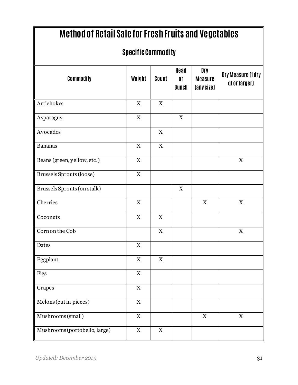| <b>Method of Retail Sale for Fresh Fruits and Vegetables</b> |                           |                           |                                        |                                     |                                    |  |
|--------------------------------------------------------------|---------------------------|---------------------------|----------------------------------------|-------------------------------------|------------------------------------|--|
| <b>Specific Commodity</b>                                    |                           |                           |                                        |                                     |                                    |  |
| Commodity                                                    | Weight                    | Count                     | Head<br>0 <sup>r</sup><br><b>Bunch</b> | Dry<br><b>Measure</b><br>(any size) | Dry Measure (1 dry<br>qtor larger) |  |
| Artichokes                                                   | $\mathbf X$               | $\mathbf X$               |                                        |                                     |                                    |  |
| Asparagus                                                    | $\mathbf X$               |                           | $\mathbf X$                            |                                     |                                    |  |
| Avocados                                                     |                           | $\mathbf X$               |                                        |                                     |                                    |  |
| <b>Bananas</b>                                               | $\mathbf X$               | X                         |                                        |                                     |                                    |  |
| Beans (green, yellow, etc.)                                  | $\boldsymbol{\mathrm{X}}$ |                           |                                        |                                     | $\mathbf X$                        |  |
| Brussels Sprouts (loose)                                     | $\mathbf X$               |                           |                                        |                                     |                                    |  |
| Brussels Sprouts (on stalk)                                  |                           |                           | $\mathbf X$                            |                                     |                                    |  |
| Cherries                                                     | $\mathbf X$               |                           |                                        | $\mathbf X$                         | $\mathbf X$                        |  |
| Coconuts                                                     | $\mathbf X$               | $\mathbf X$               |                                        |                                     |                                    |  |
| Corn on the Cob                                              |                           | $\mathbf X$               |                                        |                                     | $\mathbf X$                        |  |
| Dates                                                        | X                         |                           |                                        |                                     |                                    |  |
| Eggplant                                                     | $\mathbf X$               | $\mathbf X$               |                                        |                                     |                                    |  |
| Figs                                                         | $\mathbf X$               |                           |                                        |                                     |                                    |  |
| Grapes                                                       | $\mathbf X$               |                           |                                        |                                     |                                    |  |
| Melons (cut in pieces)                                       | $\mathbf X$               |                           |                                        |                                     |                                    |  |
| Mushrooms (small)                                            | $\mathbf X$               |                           |                                        | $\mathbf X$                         | $\mathbf X$                        |  |
| Mushrooms (portobello, large)                                | $\mathbf X$               | $\boldsymbol{\mathrm{X}}$ |                                        |                                     |                                    |  |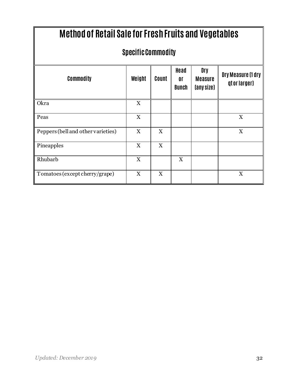| <b>Method of Retail Sale for Fresh Fruits and Vegetables</b> |             |                           |                     |                                            |                                           |  |
|--------------------------------------------------------------|-------------|---------------------------|---------------------|--------------------------------------------|-------------------------------------------|--|
| <b>Specific Commodity</b>                                    |             |                           |                     |                                            |                                           |  |
| <b>Commodity</b>                                             | Weight      | Count                     | Head<br>0ľ<br>Bunch | <b>Dry</b><br><b>Measure</b><br>(any size) | <b>Dry Measure (1 dry</b><br>qtor larger) |  |
| Okra                                                         | $\mathbf X$ |                           |                     |                                            |                                           |  |
| Peas                                                         | X           |                           |                     |                                            | $\mathbf X$                               |  |
| Peppers (bell and other varieties)                           | X           | X                         |                     |                                            | $\mathbf X$                               |  |
| Pineapples                                                   | X           | $\boldsymbol{\mathrm{X}}$ |                     |                                            |                                           |  |
| Rhubarb                                                      | X           |                           | X                   |                                            |                                           |  |
| Tomatoes (except cherry/grape)                               | X           | $\boldsymbol{\mathrm{X}}$ |                     |                                            | $\boldsymbol{\mathrm{X}}$                 |  |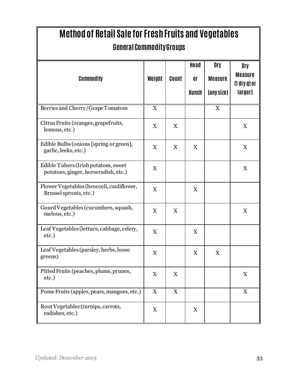| Method of Retail Sale for Fresh Fruits and Vegetables<br><b>General Commodity Groups</b> |                           |                           |                            |                                     |                                                  |  |
|------------------------------------------------------------------------------------------|---------------------------|---------------------------|----------------------------|-------------------------------------|--------------------------------------------------|--|
| <b>Commodity</b>                                                                         | Weight                    | Count                     | Head<br>0ľ<br><b>Bunch</b> | Dry<br><b>Measure</b><br>(any size) | Dry<br><b>Measure</b><br>(1 dry qt or<br>larger) |  |
| Berries and Cherry/Grape Tomatoes                                                        | $\mathbf X$               |                           |                            | $\boldsymbol{\mathrm{X}}$           |                                                  |  |
| Citrus Fruits (oranges, grapefruits,<br>lemons, etc.)                                    | $\boldsymbol{\mathrm{X}}$ | X                         |                            |                                     | X                                                |  |
| Edible Bulbs (onions [spring or green],<br>garlic, leeks, etc.)                          | $\boldsymbol{\mathrm{X}}$ | $\boldsymbol{\mathrm{X}}$ | $\boldsymbol{\mathrm{X}}$  |                                     | X                                                |  |
| Edible Tubers (Irish potatoes, sweet<br>potatoes, ginger, horseradish, etc.)             | $\boldsymbol{\mathrm{X}}$ |                           |                            |                                     | X                                                |  |
| Flower Vegetables (broccoli, cauliflower,<br>Brussel sprouts, etc.)                      | $\boldsymbol{\mathrm{X}}$ |                           | X                          |                                     |                                                  |  |
| Gourd Vegetables (cucumbers, squash,<br>melons, etc.)                                    | X                         | X                         |                            |                                     | X                                                |  |
| Leaf Vegetables (lettuce, cabbage, celery,<br>etc.)                                      | $\mathbf X$               |                           | $\boldsymbol{\mathrm{X}}$  |                                     |                                                  |  |
| Leaf Vegetables (parsley, herbs, loose<br>greens)                                        | X                         |                           | X                          | $\mathbf X$                         |                                                  |  |
| Pitted Fruits (peaches, plums, prunes,<br>etc.)                                          | X                         | X                         |                            |                                     | X                                                |  |
| Pome Fruits (apples, pears, mangoes, etc.)                                               | X                         | $\boldsymbol{\mathrm{X}}$ |                            |                                     | $\boldsymbol{\mathrm{X}}$                        |  |
| Root Vegetables (turnips, carrots,<br>radishes, etc.)                                    | X                         |                           | X                          |                                     |                                                  |  |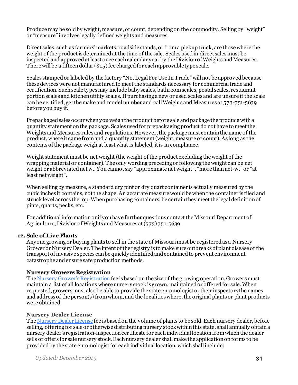Produce may be sold by weight, measure, or count, depending on the commodity. Selling by "weight" or "measure" involves legally defined weights and measures.

Direct sales, such as farmers' markets, roadside stands, or from a pickup truck, are those where the weight of the product is determined at the time of the sale. Scales used in direct sales must be inspected and approved at least once each calendar year by the Division of Weights and Measures. There will be a fifteen dollar (\$15) fee charged for each approvable type scale.

Scales stamped or labeled by the factory "Not Legal For Use In Trade" will not be approved because these deviceswere not manufactured to meet the standards necessary for commercial trade and certification. Such scale types may include baby scales, bathroom scales, postal scales, restaurant portion scales and kitchen utility scales. If purchasing a new or used scales and are unsure if the scale can be certified, get the make and model number and call Weights and Measures at 573-751-5639 before you buy it.

Prepackaged sales occur when you weigh the product before sale and package the produce with a quantity statement on the package. Scales used for prepackaging product do not have to meet the Weights and Measures rules and regulations. However, the package must contain the name of the product, where it came fromand a quantity statement (weight, measure or count). As long as the contents of the package weigh at least what is labeled, it is in compliance.

Weight statement must be net weight (the weight of the product excluding the weight of the wrapping material or container). The only wording preceding or following the weight can be net weight or abbreviated net wt. You cannot say "approximate net weight", "more than net-wt" or "at least net weight".

When selling by measure, a standard dry pint or dry quart container is actually measured by the cubic inches it contains, not the shape.An accurate measure would be when the container is filed and struck level across the top. When purchasing containers, be certain they meet the legal definition of pints, quarts, pecks, etc.

<span id="page-33-0"></span>For additional information or if you have further questions contact the Missouri Department of Agriculture, Divisionof Weights and Measures at (573) 751-5639.

#### **12. Sale of Live Plants**

Anyone growing or buying plants to sell in the state of Missouri must be registered as a Nursery Grower or Nursery Dealer. The intent of the registry is to make sure outbreaks of plant disease or the transport of invasive species can be quickly identified and contained to prevent environment catastrophe and ensure safe production methods.

#### **Nursery Growers Registration**

<span id="page-33-1"></span>Th[e Nursery Grower's Registration](http://agriculture.mo.gov/plants/pdf/NurseryGrowerApplication.pdf) fee is based on the size of the growing operation. Growers must maintain a list of all locations where nursery stock is grown, maintained or offered for sale. When requested, growers must also be able to provide the state entomologist or their inspectors the names and address of the person(s) from whom, and the localities where, the original plants or plant products were obtained.

#### **Nursery Dealer License**

The [Nursery Dealer License](http://agriculture.mo.gov/plants/pdf/NurseryDealerApplication.pdf) fee is based on the volume of plants to be sold. Each nursery dealer, before selling, offering for sale or otherwise distributing nursery stock within this state, shall annually obtain a nursery dealer's registration-inspection certificate for each individual location from which the dealer sells or offers for sale nursery stock. Each nursery dealer shall make the application on forms to be provided by the state entomologist for each individual location, which shall include: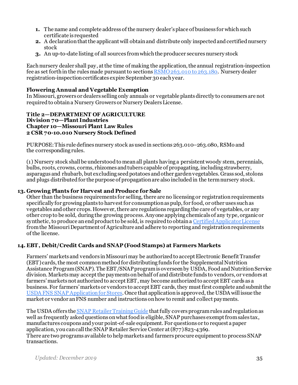- **1.** The name and complete address of the nursery dealer'splace of business for which such certificate is requested
- **2.** A declaration that the applicant will obtain and distribute only inspected and certified nursery stock
- **3.** An up-to-date listing of all sources from which the producer secures nursery stock

Each nursery dealer shall pay, at the time of making the application, the annual registration-inspection fee as set forth in the rules made pursuant to section[s RSMO 263.010 to 263.180](https://revisor.mo.gov/main/PageSearch.aspx?tb1=263.010&op=and&tb2=&idx=2). Nursery dealer registration-inspection certificates expire September 30 each year.

#### <span id="page-34-0"></span>**Flowering Annual and Vegetable Exemption**

In Missouri, growers or dealers selling only annuals or vegetable plants directly to consumers are not required to obtain a Nursery Growers or Nursery Dealers License.

#### **Title 2—DEPARTMENT OF AGRICULTURE Division 70—Plant Industries Chapter 10—Missouri Plant Law Rules 2 CSR 70-10.010 Nursery Stock Defined**

PURPOSE: This rule defines nursery stock as used in sections 263.010–263.080, RSMo and the corresponding rules.

(1) Nursery stock shall be understood to mean all plants having a persistent woody stem, perennials, bulbs, roots, crowns, corms, rhizomes and tubers capable of propagating, including strawberry, asparagus and rhubarb, but excluding seed potatoes and other garden vegetables. Grass sod, stolons and plugs distributed for the purpose of propagation are also included in the term nursery stock.

#### **13. Growing Plants for Harvest and Produce for Sale**

<span id="page-34-1"></span>Other than the business requirements for selling, there are no licensing or registration requirements specifically for growing plants to harvestfor consumption as pulp, for food, or other uses such as vegetables and other crops. However, there are regulations regarding the care of vegetables, or any other crop to be sold, during the growing process.Anyone applying chemicals of any type, organic or synthetic, to produce an end product to be sold, is required to obtain [a Certified Applicator License](http://mda.mo.gov/plants/pesticides/licensing.php) from the Missouri Department of Agriculture and adhere to reporting and registration requirements of the license.

#### **14. EBT, Debit/Credit Cards and SNAP (Food Stamps) at Farmers Markets**

<span id="page-34-2"></span>Farmers' markets and vendors inMissouri may be authorized to accept Electronic Benefit Transfer (EBT) cards, the most common method for distributing funds for the Supplemental Nutrition Assistance Program (SNAP). The EBT/SNAP program is overseen by USDA, Food and Nutrition Service division. Markets may accept the payments on behalf of and distribute funds to vendors, or vendors at farmers' markets not authorized to accept EBT, may become authorized to accept EBT cards as a business. For farmers' markets or vendors to accept EBT cards, they must first complete and submitthe USDA FNS SNAP Application for Stores. Once that application is approved, the USDA will issue the market or vendor anFNS number and instructions on how to remit and collect payments.

The USDA offers th[e SNAP Retailer Training Guide](https://fns-prod.azureedge.net/sites/default/files/media/file/Retailer-Training-Guide.pdf) that fully covers program rules and regulation as well as frequently asked questions on what food is eligible, SNAP purchases exempt from sales tax, manufactures coupons and your point-of-sale equipment. For questions or to request a paper application, you can call the SNAP Retailer Service Center at (877) 823-4369. There are two programs available to help markets and farmers procure equipment to process SNAP transactions.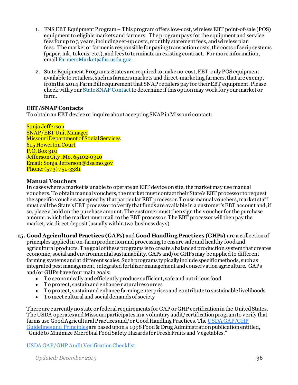- 1. FNS EBT Equipment Program This program offers low-cost, wireless EBT point-of-sale (POS) equipment to eligible markets and farmers. The program pays for the equipment and service fees for up to 3 years, including set-up costs, monthly statement fees, and wireless plan fees. The market or farmer is responsible for paying transaction costs, the costs of scrip systems (paper, ink, tokens, etc.), and fees to terminate an existing contract. For more information, emai[l FarmersMarket@fns.usda.gov.](mailto:FarmersMarket@fns.usda.gov)
- 2. State Equipment Programs: States are required to make no-cost, EBT-only POS equipment available to retailers, such as farmers markets and direct-marketing farmers, that are exempt from the 2014 Farm Bill requirement that SNAP retailers pay for their EBT equipment. Please check with your State SNAP [Contact](https://mydss.mo.gov/food-assistance/food-stamp-program)to determine if this option may work for your market or farm.

#### **EBT/SNAP Contacts**

To obtain an EBT device or inquire about accepting SNAP in Missouri contact:

Sonja Jefferson SNAP/EBT Unit Manager Missouri Department of Social Services 615 Howerton Court P.O. Box 310 Jefferson City, Mo. 65102-0310 Email: Sonja.Jefferson@dss.mo.gov Phone: (573) 751-3381

#### **Manual Vouchers**

In cases where a market is unable to operate an EBT device on site, the market may use manual vouchers. To obtain manual vouchers, the market must contact their State's EBT processor to request the specific vouchers accepted by that particular EBT processor. To use manual vouchers, market staff must call the State's EBT processor to verify that funds are available in a customer's EBT account and, if so, place a hold on the purchase amount. The customer must then sign the voucher for the purchase amount, which the market must mail to the EBT processor. The EBT processor will then pay the market, via direct deposit (usually within two business days).

**15. Good Agricultural Practices (GAPs)** and **Good Handling Practices (GHPs)** are a collection of

<span id="page-35-0"></span>principles appliedin on-farm production and processing to ensure safe and healthy food and agricultural products. The goal of these programs is to create a balanced production system that creates economic, social and environmental sustainability. GAPs and/or GHPs may be applied to different farming systems and at different scales. Such programs typically include specific methods, such as integrated pest management, integrated fertilizer management and conservation agriculture. GAPs and/or GHPs have four main goals:

- To economically and efficiently produce sufficient, safe and nutritious food
- To protect, sustain and enhance natural resources
- To protect, sustain and enhance farming enterprises and contribute to sustainable livelihoods
- To meet cultural and social demands of society

There are currently no state or federal requirements for GAP or GHP certification in the United States. The USDA operates and Missouri participates in a voluntary audit/certification program to verify that farms use Good Agricultural Practices and/or Good Handling Practices. Th[e USDA GAP/GHP](https://www.ams.usda.gov/services/auditing/gap-ghp#Listings)  [Guidelines and Principles](https://www.ams.usda.gov/services/auditing/gap-ghp#Listings) are based upon a 1998 Food & Drug Administrationpublication entitled, "Guide to Minimize Microbial Food Safety Hazards for Fresh Fruits and Vegetables."

[USDA GAP/GHP Audit Verification Checklist](https://www.ams.usda.gov/sites/default/files/media/GAPGHP_Checklist_no_spell_Checklist_Enabled%5B1%5D.pdf)